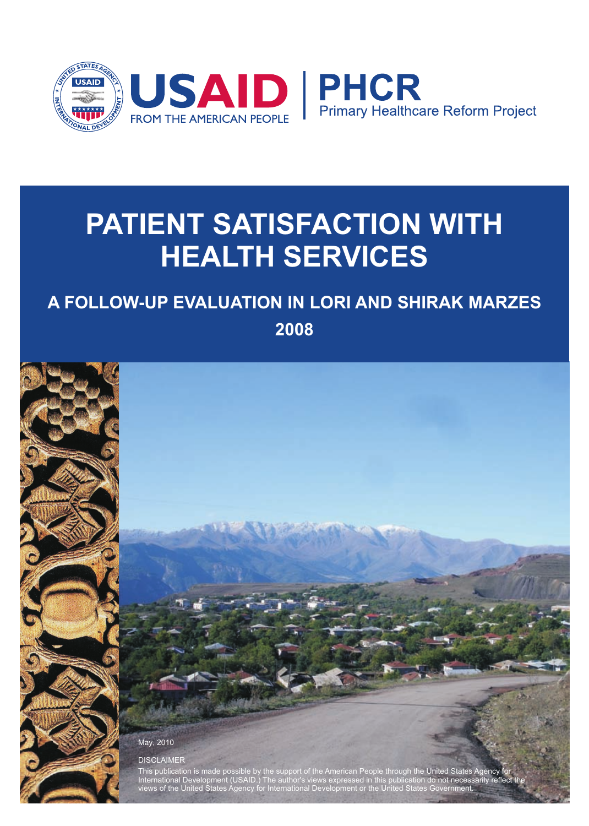

# **PATIENT SATISFACTION WITH HEALTH SERVICES**

## **A FOLLOW-UP EVALUATION IN LORI AND SHIRAK MARZES**

**2008**



International Development (USAID.) The author's views expressed in this publication do not necessarily reflect the iews of the United States Agency for International Development or the United State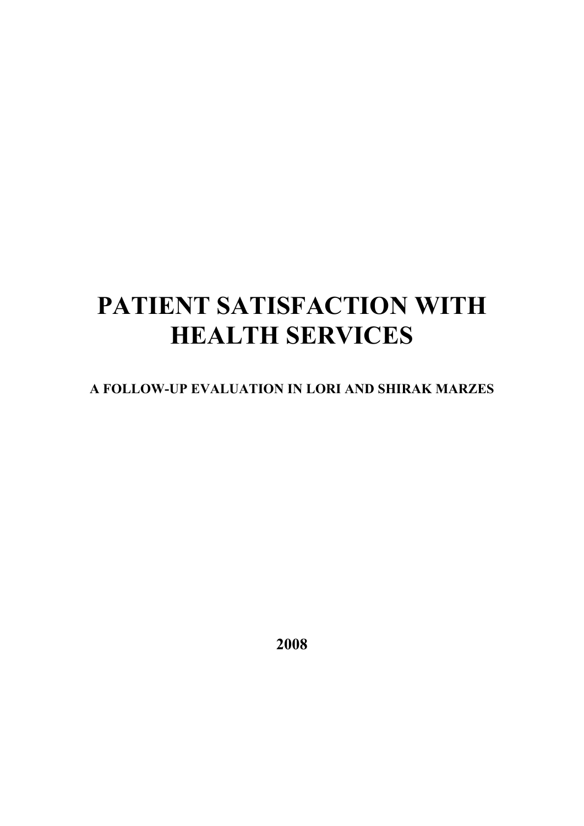# **PATIENT SATISFACTION WITH HEALTH SERVICES**

## **A FOLLOW-UP EVALUATION IN LORI AND SHIRAK MARZES**

**2008**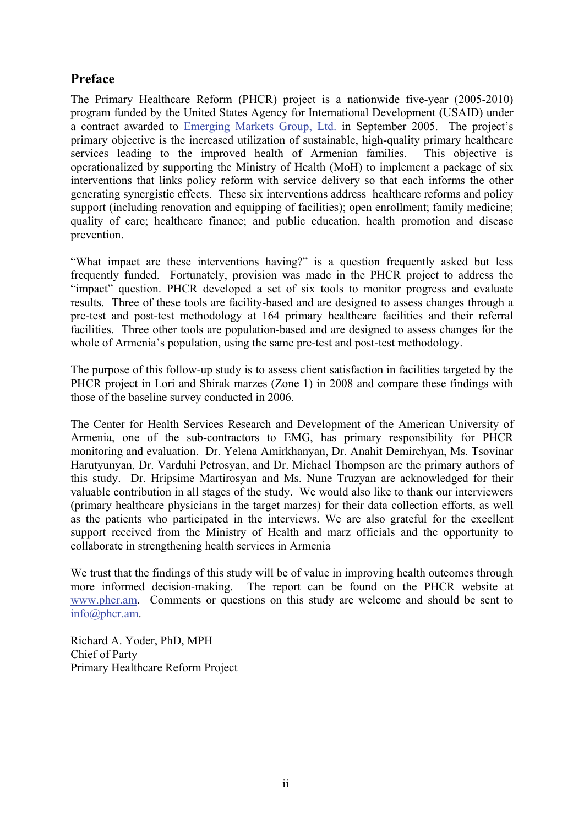## **Preface**

The Primary Healthcare Reform (PHCR) project is a nationwide five-year (2005-2010) program funded by the United States Agency for International Development (USAID) under a contract awarded to Emerging Markets Group, Ltd. in September 2005. The project's primary objective is the increased utilization of sustainable, high-quality primary healthcare services leading to the improved health of Armenian families. This objective is operationalized by supporting the Ministry of Health (MoH) to implement a package of six interventions that links policy reform with service delivery so that each informs the other generating synergistic effects. These six interventions address healthcare reforms and policy support (including renovation and equipping of facilities); open enrollment; family medicine; quality of care; healthcare finance; and public education, health promotion and disease prevention.

"What impact are these interventions having?" is a question frequently asked but less frequently funded. Fortunately, provision was made in the PHCR project to address the "impact" question. PHCR developed a set of six tools to monitor progress and evaluate results. Three of these tools are facility-based and are designed to assess changes through a pre-test and post-test methodology at 164 primary healthcare facilities and their referral facilities. Three other tools are population-based and are designed to assess changes for the whole of Armenia's population, using the same pre-test and post-test methodology.

The purpose of this follow-up study is to assess client satisfaction in facilities targeted by the PHCR project in Lori and Shirak marzes (Zone 1) in 2008 and compare these findings with those of the baseline survey conducted in 2006.

The Center for Health Services Research and Development of the American University of Armenia, one of the sub-contractors to EMG, has primary responsibility for PHCR monitoring and evaluation. Dr. Yelena Amirkhanyan, Dr. Anahit Demirchyan, Ms. Tsovinar Harutyunyan, Dr. Varduhi Petrosyan, and Dr. Michael Thompson are the primary authors of this study. Dr. Hripsime Martirosyan and Ms. Nune Truzyan are acknowledged for their valuable contribution in all stages of the study. We would also like to thank our interviewers (primary healthcare physicians in the target marzes) for their data collection efforts, as well as the patients who participated in the interviews. We are also grateful for the excellent support received from the Ministry of Health and marz officials and the opportunity to collaborate in strengthening health services in Armenia

We trust that the findings of this study will be of value in improving health outcomes through more informed decision-making. The report can be found on the PHCR website at www.phcr.am. Comments or questions on this study are welcome and should be sent to info@phcr.am.

Richard A. Yoder, PhD, MPH Chief of Party Primary Healthcare Reform Project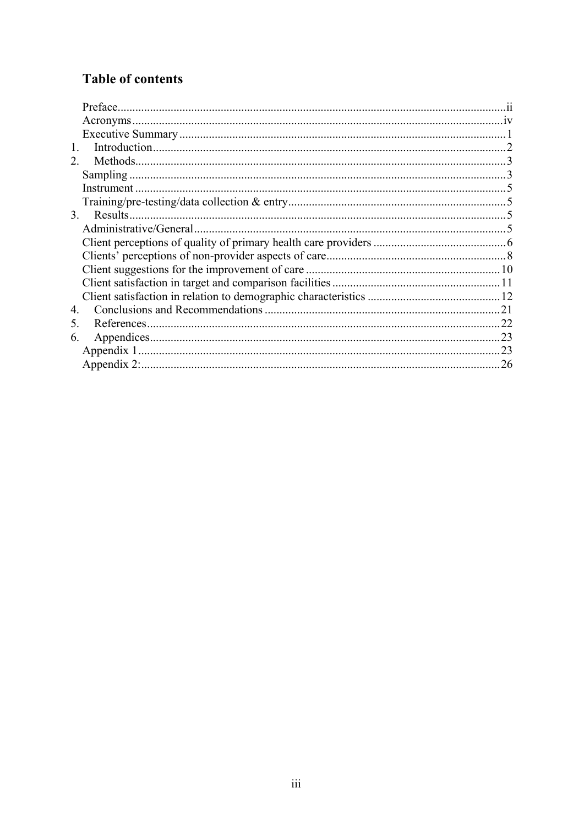## **Table of contents**

| 1.                         |  |
|----------------------------|--|
| 2.                         |  |
|                            |  |
|                            |  |
|                            |  |
| Results.<br>3 <sub>1</sub> |  |
|                            |  |
|                            |  |
|                            |  |
|                            |  |
|                            |  |
|                            |  |
| 4.                         |  |
| 5.                         |  |
| 6.                         |  |
|                            |  |
|                            |  |
|                            |  |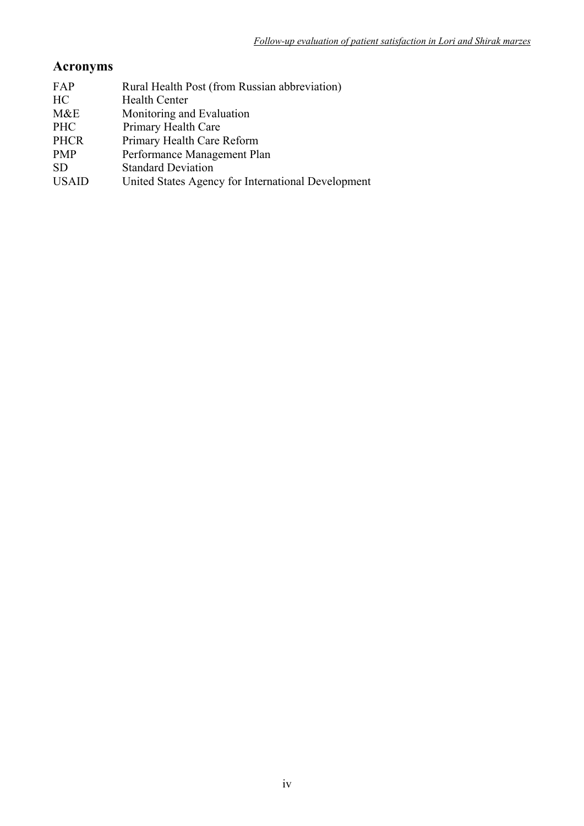## **Acronyms**

| FAP          | Rural Health Post (from Russian abbreviation)      |
|--------------|----------------------------------------------------|
| HC           | <b>Health Center</b>                               |
| M&E          | Monitoring and Evaluation                          |
| <b>PHC</b>   | Primary Health Care                                |
| <b>PHCR</b>  | Primary Health Care Reform                         |
| <b>PMP</b>   | Performance Management Plan                        |
| <b>SD</b>    | <b>Standard Deviation</b>                          |
| <b>USAID</b> | United States Agency for International Development |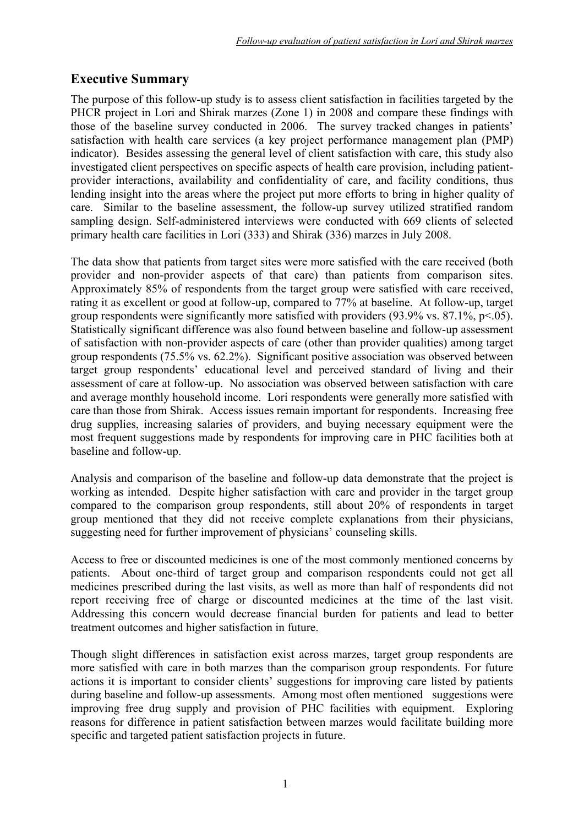## **Executive Summary**

The purpose of this follow-up study is to assess client satisfaction in facilities targeted by the PHCR project in Lori and Shirak marzes (Zone 1) in 2008 and compare these findings with those of the baseline survey conducted in 2006. The survey tracked changes in patients' satisfaction with health care services (a key project performance management plan (PMP) indicator). Besides assessing the general level of client satisfaction with care, this study also investigated client perspectives on specific aspects of health care provision, including patientprovider interactions, availability and confidentiality of care, and facility conditions, thus lending insight into the areas where the project put more efforts to bring in higher quality of care. Similar to the baseline assessment, the follow-up survey utilized stratified random sampling design. Self-administered interviews were conducted with 669 clients of selected primary health care facilities in Lori (333) and Shirak (336) marzes in July 2008.

The data show that patients from target sites were more satisfied with the care received (both provider and non-provider aspects of that care) than patients from comparison sites. Approximately 85% of respondents from the target group were satisfied with care received, rating it as excellent or good at follow-up, compared to 77% at baseline. At follow-up, target group respondents were significantly more satisfied with providers  $(93.9\% \text{ vs. } 87.1\%, \text{ p} < 0.05)$ . Statistically significant difference was also found between baseline and follow-up assessment of satisfaction with non-provider aspects of care (other than provider qualities) among target group respondents (75.5% vs. 62.2%). Significant positive association was observed between target group respondents' educational level and perceived standard of living and their assessment of care at follow-up. No association was observed between satisfaction with care and average monthly household income. Lori respondents were generally more satisfied with care than those from Shirak. Access issues remain important for respondents. Increasing free drug supplies, increasing salaries of providers, and buying necessary equipment were the most frequent suggestions made by respondents for improving care in PHC facilities both at baseline and follow-up.

Analysis and comparison of the baseline and follow-up data demonstrate that the project is working as intended. Despite higher satisfaction with care and provider in the target group compared to the comparison group respondents, still about 20% of respondents in target group mentioned that they did not receive complete explanations from their physicians, suggesting need for further improvement of physicians' counseling skills.

Access to free or discounted medicines is one of the most commonly mentioned concerns by patients. About one-third of target group and comparison respondents could not get all medicines prescribed during the last visits, as well as more than half of respondents did not report receiving free of charge or discounted medicines at the time of the last visit. Addressing this concern would decrease financial burden for patients and lead to better treatment outcomes and higher satisfaction in future.

Though slight differences in satisfaction exist across marzes, target group respondents are more satisfied with care in both marzes than the comparison group respondents. For future actions it is important to consider clients' suggestions for improving care listed by patients during baseline and follow-up assessments. Among most often mentioned suggestions were improving free drug supply and provision of PHC facilities with equipment. Exploring reasons for difference in patient satisfaction between marzes would facilitate building more specific and targeted patient satisfaction projects in future.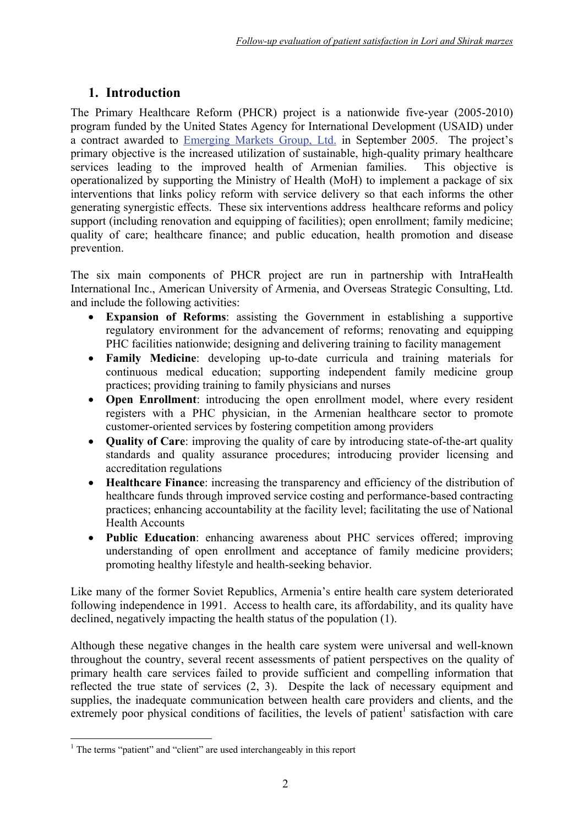## **1. Introduction**

The Primary Healthcare Reform (PHCR) project is a nationwide five-year (2005-2010) program funded by the United States Agency for International Development (USAID) under a contract awarded to Emerging Markets Group, Ltd. in September 2005. The project's primary objective is the increased utilization of sustainable, high-quality primary healthcare services leading to the improved health of Armenian families. This objective is operationalized by supporting the Ministry of Health (MoH) to implement a package of six interventions that links policy reform with service delivery so that each informs the other generating synergistic effects. These six interventions address healthcare reforms and policy support (including renovation and equipping of facilities); open enrollment; family medicine; quality of care; healthcare finance; and public education, health promotion and disease prevention.

The six main components of PHCR project are run in partnership with IntraHealth International Inc., American University of Armenia, and Overseas Strategic Consulting, Ltd. and include the following activities:

- **Expansion of Reforms**: assisting the Government in establishing a supportive regulatory environment for the advancement of reforms; renovating and equipping PHC facilities nationwide; designing and delivering training to facility management
- **Family Medicine**: developing up-to-date curricula and training materials for continuous medical education; supporting independent family medicine group practices; providing training to family physicians and nurses
- **Open Enrollment**: introducing the open enrollment model, where every resident registers with a PHC physician, in the Armenian healthcare sector to promote customer-oriented services by fostering competition among providers
- **Quality of Care**: improving the quality of care by introducing state-of-the-art quality standards and quality assurance procedures; introducing provider licensing and accreditation regulations
- **Healthcare Finance**: increasing the transparency and efficiency of the distribution of healthcare funds through improved service costing and performance-based contracting practices; enhancing accountability at the facility level; facilitating the use of National Health Accounts
- **Public Education**: enhancing awareness about PHC services offered; improving understanding of open enrollment and acceptance of family medicine providers; promoting healthy lifestyle and health-seeking behavior.

Like many of the former Soviet Republics, Armenia's entire health care system deteriorated following independence in 1991. Access to health care, its affordability, and its quality have declined, negatively impacting the health status of the population (1).

Although these negative changes in the health care system were universal and well-known throughout the country, several recent assessments of patient perspectives on the quality of primary health care services failed to provide sufficient and compelling information that reflected the true state of services (2, 3). Despite the lack of necessary equipment and supplies, the inadequate communication between health care providers and clients, and the extremely poor physical conditions of facilities, the levels of patient<sup>1</sup> satisfaction with care

 1 The terms "patient" and "client" are used interchangeably in this report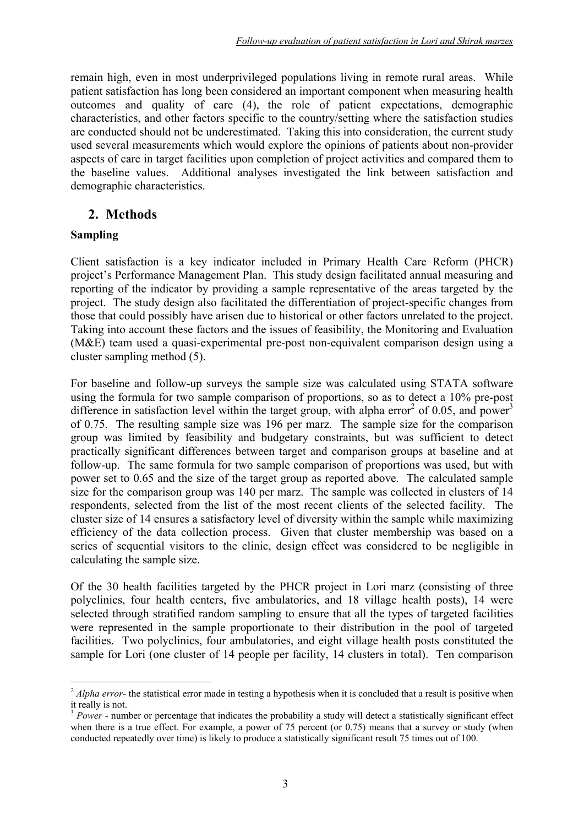remain high, even in most underprivileged populations living in remote rural areas. While patient satisfaction has long been considered an important component when measuring health outcomes and quality of care (4), the role of patient expectations, demographic characteristics, and other factors specific to the country/setting where the satisfaction studies are conducted should not be underestimated. Taking this into consideration, the current study used several measurements which would explore the opinions of patients about non-provider aspects of care in target facilities upon completion of project activities and compared them to the baseline values. Additional analyses investigated the link between satisfaction and demographic characteristics.

## **2. Methods**

#### **Sampling**

1

Client satisfaction is a key indicator included in Primary Health Care Reform (PHCR) project's Performance Management Plan. This study design facilitated annual measuring and reporting of the indicator by providing a sample representative of the areas targeted by the project. The study design also facilitated the differentiation of project-specific changes from those that could possibly have arisen due to historical or other factors unrelated to the project. Taking into account these factors and the issues of feasibility, the Monitoring and Evaluation (M&E) team used a quasi-experimental pre-post non-equivalent comparison design using a cluster sampling method (5).

For baseline and follow-up surveys the sample size was calculated using STATA software using the formula for two sample comparison of proportions, so as to detect a 10% pre-post difference in satisfaction level within the target group, with alpha error<sup>2</sup> of 0.05, and power<sup>3</sup> of 0.75. The resulting sample size was 196 per marz. The sample size for the comparison group was limited by feasibility and budgetary constraints, but was sufficient to detect practically significant differences between target and comparison groups at baseline and at follow-up. The same formula for two sample comparison of proportions was used, but with power set to 0.65 and the size of the target group as reported above. The calculated sample size for the comparison group was 140 per marz. The sample was collected in clusters of 14 respondents, selected from the list of the most recent clients of the selected facility. The cluster size of 14 ensures a satisfactory level of diversity within the sample while maximizing efficiency of the data collection process. Given that cluster membership was based on a series of sequential visitors to the clinic, design effect was considered to be negligible in calculating the sample size.

Of the 30 health facilities targeted by the PHCR project in Lori marz (consisting of three polyclinics, four health centers, five ambulatories, and 18 village health posts), 14 were selected through stratified random sampling to ensure that all the types of targeted facilities were represented in the sample proportionate to their distribution in the pool of targeted facilities. Two polyclinics, four ambulatories, and eight village health posts constituted the sample for Lori (one cluster of 14 people per facility, 14 clusters in total). Ten comparison

<sup>&</sup>lt;sup>2</sup> *Alpha error*- the statistical error made in testing a hypothesis when it is concluded that a result is positive when it really is not.

<sup>&</sup>lt;sup>3</sup> *Power* - number or percentage that indicates the probability a study will detect a statistically significant effect when there is a true effect. For example, a power of 75 percent (or 0.75) means that a survey or study (when conducted repeatedly over time) is likely to produce a statistically significant result 75 times out of 100.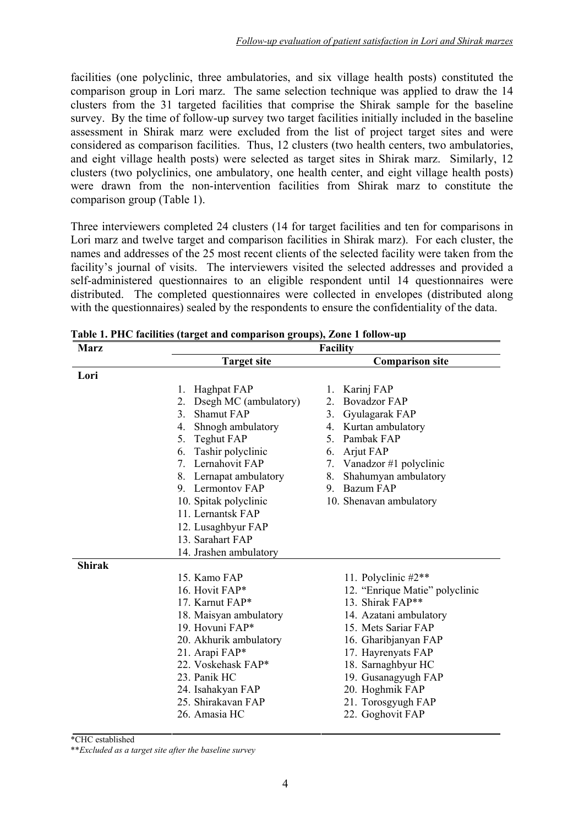facilities (one polyclinic, three ambulatories, and six village health posts) constituted the comparison group in Lori marz. The same selection technique was applied to draw the 14 clusters from the 31 targeted facilities that comprise the Shirak sample for the baseline survey. By the time of follow-up survey two target facilities initially included in the baseline assessment in Shirak marz were excluded from the list of project target sites and were considered as comparison facilities. Thus, 12 clusters (two health centers, two ambulatories, and eight village health posts) were selected as target sites in Shirak marz. Similarly, 12 clusters (two polyclinics, one ambulatory, one health center, and eight village health posts) were drawn from the non-intervention facilities from Shirak marz to constitute the comparison group (Table 1).

Three interviewers completed 24 clusters (14 for target facilities and ten for comparisons in Lori marz and twelve target and comparison facilities in Shirak marz). For each cluster, the names and addresses of the 25 most recent clients of the selected facility were taken from the facility's journal of visits. The interviewers visited the selected addresses and provided a self-administered questionnaires to an eligible respondent until 14 questionnaires were distributed. The completed questionnaires were collected in envelopes (distributed along with the questionnaires) sealed by the respondents to ensure the confidentiality of the data.

| <b>Marz</b>                 | <b>Facility</b>                     |  |  |  |
|-----------------------------|-------------------------------------|--|--|--|
| <b>Target site</b>          | <b>Comparison site</b>              |  |  |  |
| Lori                        |                                     |  |  |  |
| Haghpat FAP<br>1.           | 1. Karinj FAP                       |  |  |  |
| Dsegh MC (ambulatory)<br>2. | <b>Bovadzor FAP</b><br>$\mathbf{2}$ |  |  |  |
| 3.<br>Shamut FAP            | Gyulagarak FAP<br>3 <sub>1</sub>    |  |  |  |
| 4. Shnogh ambulatory        | 4. Kurtan ambulatory                |  |  |  |
| 5. Teghut FAP               | 5. Pambak FAP                       |  |  |  |
| Tashir polyclinic<br>6.     | 6. Arjut FAP                        |  |  |  |
| 7. Lernahovit FAP           | 7. Vanadzor #1 polyclinic           |  |  |  |
| 8. Lernapat ambulatory      | Shahumyan ambulatory<br>8.          |  |  |  |
| 9 Lermontov FAP             | 9. Bazum FAP                        |  |  |  |
| 10. Spitak polyclinic       | 10. Shenavan ambulatory             |  |  |  |
| 11. Lernantsk FAP           |                                     |  |  |  |
| 12. Lusaghbyur FAP          |                                     |  |  |  |
| 13. Sarahart FAP            |                                     |  |  |  |
| 14. Jrashen ambulatory      |                                     |  |  |  |
| <b>Shirak</b>               |                                     |  |  |  |
| 15. Kamo FAP                | 11. Polyclinic #2**                 |  |  |  |
| 16. Hovit FAP*              | 12. "Enrique Matie" polyclinic      |  |  |  |
| 17. Karnut FAP*             | 13. Shirak FAP**                    |  |  |  |
| 18. Maisyan ambulatory      | 14. Azatani ambulatory              |  |  |  |
| 19. Hovuni FAP*             | 15. Mets Sariar FAP                 |  |  |  |
| 20. Akhurik ambulatory      | 16. Gharibjanyan FAP                |  |  |  |
| 21. Arapi FAP*              | 17. Hayrenyats FAP                  |  |  |  |
| 22. Voskehask FAP*          | 18. Sarnaghbyur HC                  |  |  |  |
| 23. Panik HC                | 19. Gusanagyugh FAP                 |  |  |  |
| 24. Isahakyan FAP           | 20. Hoghmik FAP                     |  |  |  |
| 25. Shirakavan FAP          | 21. Torosgyugh FAP                  |  |  |  |
| 26. Amasia HC               | 22. Goghovit FAP                    |  |  |  |

**Table 1. PHC facilities (target and comparison groups), Zone 1 follow-up** 

\*CHC established

\*\**Excluded as a target site after the baseline survey*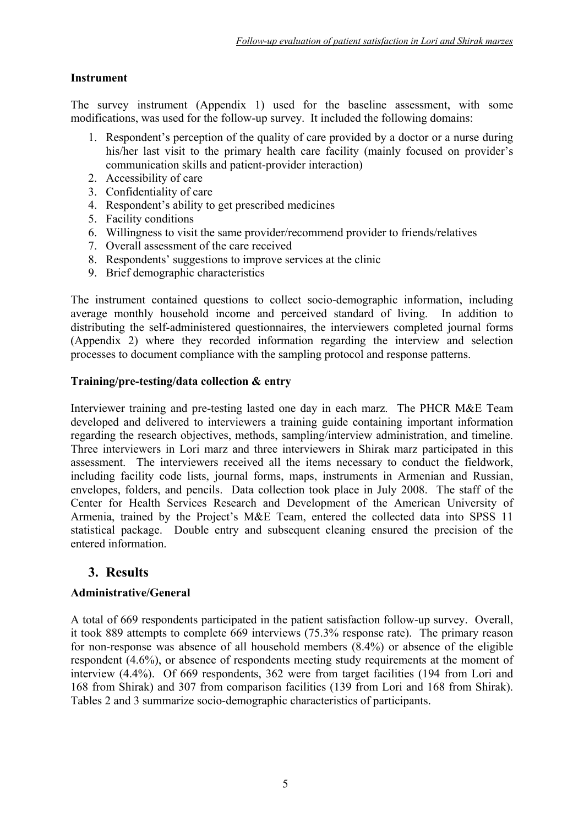#### **Instrument**

The survey instrument (Appendix 1) used for the baseline assessment, with some modifications, was used for the follow-up survey. It included the following domains:

- 1. Respondent's perception of the quality of care provided by a doctor or a nurse during his/her last visit to the primary health care facility (mainly focused on provider's communication skills and patient-provider interaction)
- 2. Accessibility of care
- 3. Confidentiality of care
- 4. Respondent's ability to get prescribed medicines
- 5. Facility conditions
- 6. Willingness to visit the same provider/recommend provider to friends/relatives
- 7. Overall assessment of the care received
- 8. Respondents' suggestions to improve services at the clinic
- 9. Brief demographic characteristics

The instrument contained questions to collect socio-demographic information, including average monthly household income and perceived standard of living. In addition to distributing the self-administered questionnaires, the interviewers completed journal forms (Appendix 2) where they recorded information regarding the interview and selection processes to document compliance with the sampling protocol and response patterns.

#### **Training/pre-testing/data collection & entry**

Interviewer training and pre-testing lasted one day in each marz. The PHCR M&E Team developed and delivered to interviewers a training guide containing important information regarding the research objectives, methods, sampling/interview administration, and timeline. Three interviewers in Lori marz and three interviewers in Shirak marz participated in this assessment. The interviewers received all the items necessary to conduct the fieldwork, including facility code lists, journal forms, maps, instruments in Armenian and Russian, envelopes, folders, and pencils. Data collection took place in July 2008. The staff of the Center for Health Services Research and Development of the American University of Armenia, trained by the Project's M&E Team, entered the collected data into SPSS 11 statistical package. Double entry and subsequent cleaning ensured the precision of the entered information.

### **3. Results**

#### **Administrative/General**

A total of 669 respondents participated in the patient satisfaction follow-up survey. Overall, it took 889 attempts to complete 669 interviews (75.3% response rate). The primary reason for non-response was absence of all household members (8.4%) or absence of the eligible respondent (4.6%), or absence of respondents meeting study requirements at the moment of interview (4.4%). Of 669 respondents, 362 were from target facilities (194 from Lori and 168 from Shirak) and 307 from comparison facilities (139 from Lori and 168 from Shirak). Tables 2 and 3 summarize socio-demographic characteristics of participants.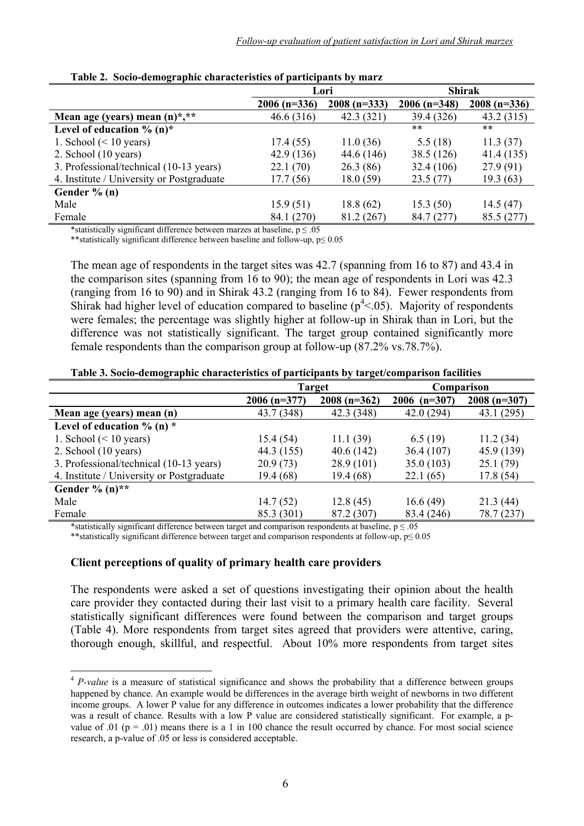|                                               | Lori           |               | <b>Shirak</b>  |               |
|-----------------------------------------------|----------------|---------------|----------------|---------------|
|                                               | $2006$ (n=336) | $2008(n=333)$ | $2006$ (n=348) | $2008(n=336)$ |
| Mean age (years) mean $(n)$ <sup>*</sup> , ** | 46.6(316)      | 42.3(321)     | 39.4 (326)     | 43.2(315)     |
| Level of education $\%$ (n)*                  |                |               | $***$          | $***$         |
| 1. School $(< 10$ years)                      | 17.4(55)       | 11.0(36)      | 5.5(18)        | 11.3(37)      |
| 2. School $(10 \text{ years})$                | 42.9 (136)     | 44.6 (146)    | 38.5 (126)     | 41.4(135)     |
| 3. Professional/technical (10-13 years)       | 22.1(70)       | 26.3(86)      | 32.4(106)      | 27.9(91)      |
| 4. Institute / University or Postgraduate     | 17.7 (56)      | 18.0(59)      | 23.5(77)       | 19.3 (63)     |
| Gender $% (n)$                                |                |               |                |               |
| Male                                          | 15.9(51)       | 18.8(62)      | 15.3(50)       | 14.5(47)      |
| Female                                        | 84.1 (270)     | 81.2 (267)    | 84.7 (277)     | 85.5 (277)    |

\*statistically significant difference between marzes at baseline,  $p \le 0.05$ 

\*\*statistically significant difference between baseline and follow-up, p≤ 0.05

The mean age of respondents in the target sites was 42.7 (spanning from 16 to 87) and 43.4 in the comparison sites (spanning from 16 to 90); the mean age of respondents in Lori was 42.3 (ranging from 16 to 90) and in Shirak 43.2 (ranging from 16 to 84). Fewer respondents from Shirak had higher level of education compared to baseline  $(p^4 < 0.05)$ . Majority of respondents were females; the percentage was slightly higher at follow-up in Shirak than in Lori, but the difference was not statistically significant. The target group contained significantly more female respondents than the comparison group at follow-up (87.2% vs.78.7%).

| Table 3. Socio-demographic characteristics of participants by target/comparison facilities |  |  |  |  |
|--------------------------------------------------------------------------------------------|--|--|--|--|
|--------------------------------------------------------------------------------------------|--|--|--|--|

|                                           | <b>Target</b>  |               | Comparison     |               |
|-------------------------------------------|----------------|---------------|----------------|---------------|
|                                           | $2006$ (n=377) | $2008(n=362)$ | $2006$ (n=307) | $2008(n=307)$ |
| Mean age (years) mean (n)                 | 43.7 (348)     | 42.3 (348)    | 42.0(294)      | 43.1(295)     |
| Level of education $\%$ (n) $*$           |                |               |                |               |
| 1. School $(< 10$ years)                  | 15.4(54)       | 11.1(39)      | 6.5(19)        | 11.2(34)      |
| 2. School $(10 \text{ years})$            | 44.3 (155)     | 40.6(142)     | 36.4(107)      | 45.9 (139)    |
| 3. Professional/technical (10-13 years)   | 20.9(73)       | 28.9(101)     | 35.0(103)      | 25.1(79)      |
| 4. Institute / University or Postgraduate | 19.4(68)       | 19.4 (68)     | 22.1(65)       | 17.8(54)      |
| Gender $\%$ (n)**                         |                |               |                |               |
| Male                                      | 14.7(52)       | 12.8(45)      | 16.6(49)       | 21.3(44)      |
| Female                                    | 85.3 (301)     | 87.2 (307)    | 83.4 (246)     | 78.7 (237)    |

\*statistically significant difference between target and comparison respondents at baseline,  $p \le 0.05$ 

\*\*statistically significant difference between target and comparison respondents at follow-up, p≤ 0.05

#### **Client perceptions of quality of primary health care providers**

1

The respondents were asked a set of questions investigating their opinion about the health care provider they contacted during their last visit to a primary health care facility. Several statistically significant differences were found between the comparison and target groups (Table 4). More respondents from target sites agreed that providers were attentive, caring, thorough enough, skillful, and respectful. About 10% more respondents from target sites

<sup>&</sup>lt;sup>4</sup> *P-value* is a measure of statistical significance and shows the probability that a difference between groups happened by chance. An example would be differences in the average birth weight of newborns in two different income groups. A lower P value for any difference in outcomes indicates a lower probability that the difference was a result of chance. Results with a low P value are considered statistically significant. For example, a pvalue of .01 ( $p = .01$ ) means there is a 1 in 100 chance the result occurred by chance. For most social science research, a p-value of .05 or less is considered acceptable.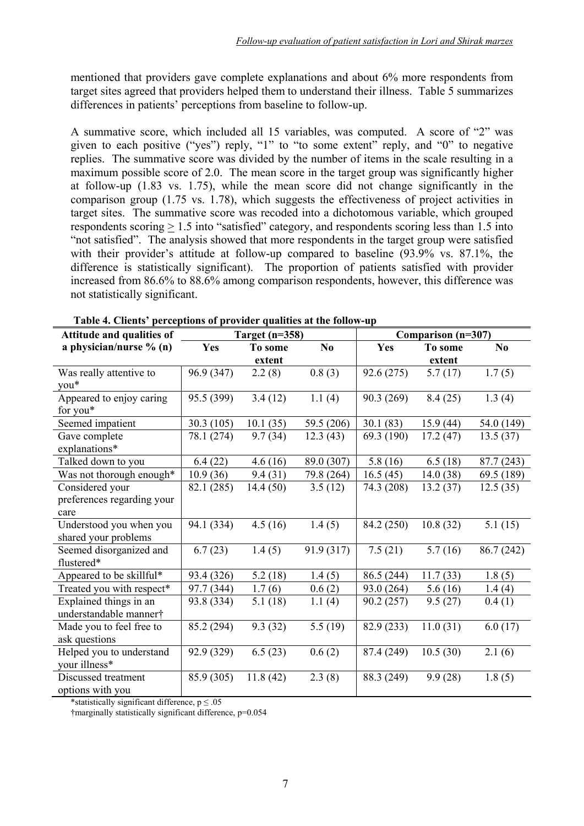mentioned that providers gave complete explanations and about 6% more respondents from target sites agreed that providers helped them to understand their illness. Table 5 summarizes differences in patients' perceptions from baseline to follow-up.

A summative score, which included all 15 variables, was computed. A score of "2" was given to each positive ("yes") reply, "1" to "to some extent" reply, and "0" to negative replies. The summative score was divided by the number of items in the scale resulting in a maximum possible score of 2.0. The mean score in the target group was significantly higher at follow-up (1.83 vs. 1.75), while the mean score did not change significantly in the comparison group (1.75 vs. 1.78), which suggests the effectiveness of project activities in target sites. The summative score was recoded into a dichotomous variable, which grouped respondents scoring > 1.5 into "satisfied" category, and respondents scoring less than 1.5 into "not satisfied". The analysis showed that more respondents in the target group were satisfied with their provider's attitude at follow-up compared to baseline  $(93.9\%$  vs. 87.1%, the difference is statistically significant). The proportion of patients satisfied with provider increased from 86.6% to 88.6% among comparison respondents, however, this difference was not statistically significant.

| Attitude and qualities of  | Target $(n=358)$ |          | Comparison (n=307) |            |                       |                |
|----------------------------|------------------|----------|--------------------|------------|-----------------------|----------------|
| a physician/nurse $% (n)$  | Yes              | To some  | No                 | Yes        | To some               | N <sub>0</sub> |
|                            |                  | extent   |                    |            | extent                |                |
| Was really attentive to    | 96.9 (347)       | 2.2(8)   | 0.8(3)             | 92.6(275)  | 5.7(17)               | 1.7(5)         |
| you*                       |                  |          |                    |            |                       |                |
| Appeared to enjoy caring   | 95.5 (399)       | 3.4(12)  | 1.1(4)             | 90.3 (269) | 8.4(25)               | 1.3(4)         |
| for you*                   |                  |          |                    |            |                       |                |
| Seemed impatient           | 30.3(105)        | 10.1(35) | 59.5 (206)         | 30.1(83)   | 15.9(44)              | 54.0 (149)     |
| Gave complete              | 78.1 (274)       | 9.7(34)  | 12.3(43)           | 69.3 (190) | 17.2(47)              | 13.5(37)       |
| explanations*              |                  |          |                    |            |                       |                |
| Talked down to you         | 6.4(22)          | 4.6(16)  | 89.0 (307)         | 5.8(16)    | 6.5(18)               | 87.7 (243)     |
| Was not thorough enough*   | 10.9(36)         | 9.4(31)  | 79.8 (264)         | 16.5(45)   | 14.0(38)              | 69.5 (189)     |
| Considered your            | 82.1 (285)       | 14.4(50) | 3.5(12)            | 74.3 (208) | 13.2(37)              | 12.5(35)       |
| preferences regarding your |                  |          |                    |            |                       |                |
| care                       |                  |          |                    |            |                       |                |
| Understood you when you    | 94.1 (334)       | 4.5(16)  | 1.4(5)             | 84.2 (250) | 10.8(32)              | 5.1(15)        |
| shared your problems       |                  |          |                    |            |                       |                |
| Seemed disorganized and    | 6.7(23)          | 1.4(5)   | 91.9 (317)         | 7.5(21)    | $\overline{5.7}$ (16) | 86.7 (242)     |
| flustered*                 |                  |          |                    |            |                       |                |
| Appeared to be skillful*   | 93.4 (326)       | 5.2(18)  | 1.4(5)             | 86.5 (244) | 11.7(33)              | 1.8(5)         |
| Treated you with respect*  | 97.7 (344)       | 1.7(6)   | 0.6(2)             | 93.0 (264) | 5.6(16)               | 1.4(4)         |
| Explained things in an     | 93.8 (334)       | 5.1(18)  | 1.1(4)             | 90.2(257)  | 9.5(27)               | 0.4(1)         |
| understandable manner†     |                  |          |                    |            |                       |                |
| Made you to feel free to   | 85.2 (294)       | 9.3(32)  | 5.5(19)            | 82.9 (233) | 11.0(31)              | 6.0(17)        |
| ask questions              |                  |          |                    |            |                       |                |
| Helped you to understand   | 92.9 (329)       | 6.5(23)  | 0.6(2)             | 87.4 (249) | 10.5(30)              | 2.1(6)         |
| your illness*              |                  |          |                    |            |                       |                |
| Discussed treatment        | 85.9 (305)       | 11.8(42) | 2.3(8)             | 88.3 (249) | 9.9(28)               | 1.8(5)         |
| options with you           |                  |          |                    |            |                       |                |

\*statistically significant difference,  $p \le 0.05$ 

†marginally statistically significant difference, p=0.054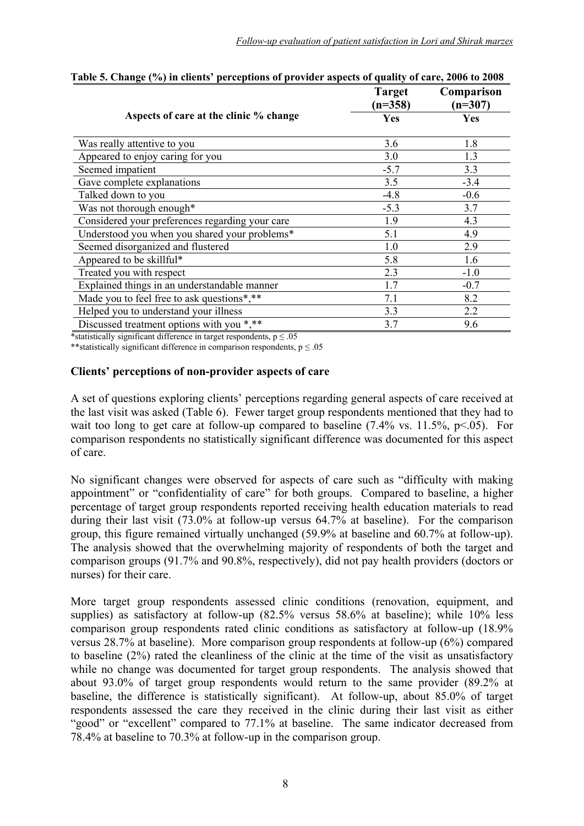| $\cdots$ $\cdots$ $\cdots$                      | <b>Target</b><br>$(n=358)$ | Comparison<br>$(n=307)$ |
|-------------------------------------------------|----------------------------|-------------------------|
| Aspects of care at the clinic % change          | Yes                        | Yes                     |
| Was really attentive to you                     | 3.6                        | 1.8                     |
| Appeared to enjoy caring for you                | 3.0                        | 1.3                     |
| Seemed impatient                                | $-5.7$                     | 3.3                     |
| Gave complete explanations                      | 3.5                        | $-3.4$                  |
| Talked down to you                              | $-4.8$                     | $-0.6$                  |
| Was not thorough enough*                        | $-5.3$                     | 3.7                     |
| Considered your preferences regarding your care | 1.9                        | 4.3                     |
| Understood you when you shared your problems*   | 5.1                        | 4.9                     |
| Seemed disorganized and flustered               | 1.0                        | 2.9                     |
| Appeared to be skillful*                        | 5.8                        | 1.6                     |
| Treated you with respect                        | 2.3                        | $-1.0$                  |
| Explained things in an understandable manner    | 1.7                        | $-0.7$                  |
| Made you to feel free to ask questions*,**      | 7.1                        | 8.2                     |
| Helped you to understand your illness           | 3.3                        | 2.2                     |
| Discussed treatment options with you *,**       | 3.7                        | 9.6                     |

| Table 5. Change (%) in clients' perceptions of provider aspects of quality of care, 2006 to 2008 |  |  |
|--------------------------------------------------------------------------------------------------|--|--|
|                                                                                                  |  |  |

\*statistically significant difference in target respondents,  $p \le 0.05$ 

\*\*statistically significant difference in comparison respondents,  $p \le 0.05$ 

#### **Clients' perceptions of non-provider aspects of care**

A set of questions exploring clients' perceptions regarding general aspects of care received at the last visit was asked (Table 6). Fewer target group respondents mentioned that they had to wait too long to get care at follow-up compared to baseline  $(7.4\% \text{ vs. } 11.5\%, \text{ p} < 0.05)$ . For comparison respondents no statistically significant difference was documented for this aspect of care.

No significant changes were observed for aspects of care such as "difficulty with making appointment" or "confidentiality of care" for both groups. Compared to baseline, a higher percentage of target group respondents reported receiving health education materials to read during their last visit (73.0% at follow-up versus 64.7% at baseline). For the comparison group, this figure remained virtually unchanged (59.9% at baseline and 60.7% at follow-up). The analysis showed that the overwhelming majority of respondents of both the target and comparison groups (91.7% and 90.8%, respectively), did not pay health providers (doctors or nurses) for their care.

More target group respondents assessed clinic conditions (renovation, equipment, and supplies) as satisfactory at follow-up (82.5% versus 58.6% at baseline); while 10% less comparison group respondents rated clinic conditions as satisfactory at follow-up (18.9% versus 28.7% at baseline). More comparison group respondents at follow-up (6%) compared to baseline (2%) rated the cleanliness of the clinic at the time of the visit as unsatisfactory while no change was documented for target group respondents. The analysis showed that about 93.0% of target group respondents would return to the same provider (89.2% at baseline, the difference is statistically significant). At follow-up, about 85.0% of target respondents assessed the care they received in the clinic during their last visit as either "good" or "excellent" compared to 77.1% at baseline. The same indicator decreased from 78.4% at baseline to 70.3% at follow-up in the comparison group.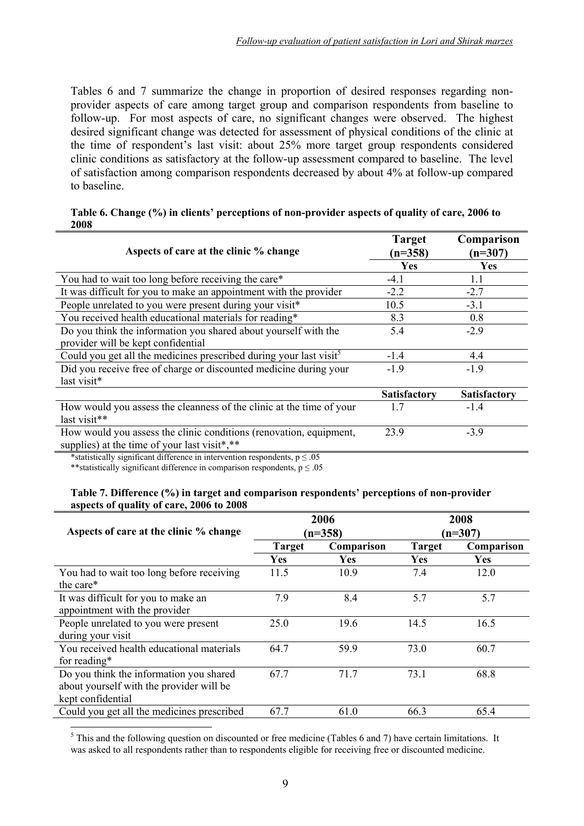Tables 6 and 7 summarize the change in proportion of desired responses regarding nonprovider aspects of care among target group and comparison respondents from baseline to follow-up. For most aspects of care, no significant changes were observed. The highest desired significant change was detected for assessment of physical conditions of the clinic at the time of respondent's last visit: about 25% more target group respondents considered clinic conditions as satisfactory at the follow-up assessment compared to baseline. The level of satisfaction among comparison respondents decreased by about 4% at follow-up compared to baseline.

#### **Table 6. Change (%) in clients' perceptions of non-provider aspects of quality of care, 2006 to 2008**

| Aspects of care at the clinic % change                                         | <b>Target</b><br>$(n=358)$ | Comparison<br>$(n=307)$ |
|--------------------------------------------------------------------------------|----------------------------|-------------------------|
|                                                                                | Yes                        | Yes                     |
| You had to wait too long before receiving the care*                            | $-4.1$                     | 1.1                     |
| It was difficult for you to make an appointment with the provider              | $-2.2$                     | $-2.7$                  |
| People unrelated to you were present during your visit*                        | 10.5                       | $-3.1$                  |
| You received health educational materials for reading*                         | 8.3                        | 0.8                     |
| Do you think the information you shared about yourself with the                | 5.4                        | $-2.9$                  |
| provider will be kept confidential                                             |                            |                         |
| Could you get all the medicines prescribed during your last visit <sup>5</sup> | $-1.4$                     | 4.4                     |
| Did you receive free of charge or discounted medicine during your              | $-1.9$                     | $-1.9$                  |
| last visit*                                                                    |                            |                         |
|                                                                                | <b>Satisfactory</b>        | <b>Satisfactory</b>     |
| How would you assess the cleanness of the clinic at the time of your           | 1.7                        | $-1.4$                  |
| last visit**                                                                   |                            |                         |
| How would you assess the clinic conditions (renovation, equipment,             | 23.9                       | $-3.9$                  |
| supplies) at the time of your last visit*,**                                   |                            |                         |

\*statistically significant difference in intervention respondents,  $p \le 0.05$ 

\*\*statistically significant difference in comparison respondents,  $p \le 0.05$ 

#### **Table 7. Difference (%) in target and comparison respondents' perceptions of non-provider aspects of quality of care, 2006 to 2008**

| Aspects of care at the clinic % change     |               | 2006       |               | 2008       |
|--------------------------------------------|---------------|------------|---------------|------------|
|                                            |               | $(n=358)$  |               | $(n=307)$  |
|                                            | <b>Target</b> | Comparison | <b>Target</b> | Comparison |
|                                            | Yes           | <b>Yes</b> | <b>Yes</b>    | <b>Yes</b> |
| You had to wait too long before receiving  | 11.5          | 10.9       | 7.4           | 12.0       |
| the care*                                  |               |            |               |            |
| It was difficult for you to make an        | 7.9           | 8.4        | 5.7           | 5.7        |
| appointment with the provider              |               |            |               |            |
| People unrelated to you were present       | 25.0          | 19.6       | 14.5          | 16.5       |
| during your visit                          |               |            |               |            |
| You received health educational materials  | 64.7          | 59.9       | 73.0          | 60.7       |
| for reading*                               |               |            |               |            |
| Do you think the information you shared    | 67.7          | 71.7       | 73.1          | 68.8       |
| about yourself with the provider will be   |               |            |               |            |
| kept confidential                          |               |            |               |            |
| Could you get all the medicines prescribed | 67.7          | 61.0       | 66.3          | 65.4       |

<u>.</u>  $<sup>5</sup>$  This and the following question on discounted or free medicine (Tables 6 and 7) have certain limitations. It</sup> was asked to all respondents rather than to respondents eligible for receiving free or discounted medicine.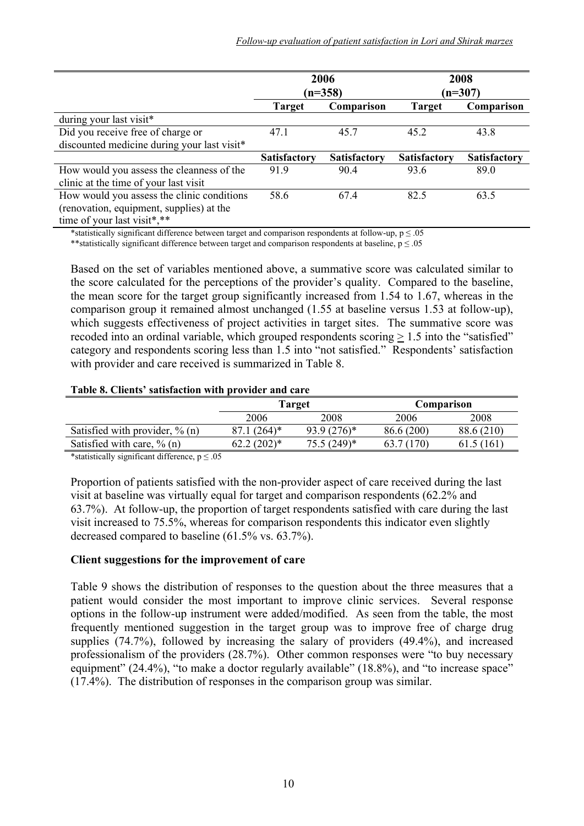|                                             |                     | 2006<br>$(n=358)$   |                     | 2008<br>$(n=307)$   |
|---------------------------------------------|---------------------|---------------------|---------------------|---------------------|
|                                             | <b>Target</b>       | Comparison          | <b>Target</b>       | Comparison          |
| during your last visit*                     |                     |                     |                     |                     |
| Did you receive free of charge or           | 47.1                | 45.7                |                     | 43.8                |
| discounted medicine during your last visit* |                     |                     |                     |                     |
|                                             | <b>Satisfactory</b> | <b>Satisfactory</b> | <b>Satisfactory</b> | <b>Satisfactory</b> |
| How would you assess the cleanness of the   | 91.9                | 90.4                | 93.6                | 89.0                |
| clinic at the time of your last visit       |                     |                     |                     |                     |
| How would you assess the clinic conditions  | 58.6                | 67.4                | 82.5                | 63.5                |
| (renovation, equipment, supplies) at the    |                     |                     |                     |                     |
| time of your last visit*,**                 |                     |                     |                     |                     |

\*statistically significant difference between target and comparison respondents at follow-up,  $p \le 0.05$ 

\*\*statistically significant difference between target and comparison respondents at baseline,  $p \le 0.05$ 

Based on the set of variables mentioned above, a summative score was calculated similar to the score calculated for the perceptions of the provider's quality. Compared to the baseline, the mean score for the target group significantly increased from 1.54 to 1.67, whereas in the comparison group it remained almost unchanged (1.55 at baseline versus 1.53 at follow-up), which suggests effectiveness of project activities in target sites. The summative score was recoded into an ordinal variable, which grouped respondents scoring  $\geq 1.5$  into the "satisfied" category and respondents scoring less than 1.5 into "not satisfied." Respondents' satisfaction with provider and care received is summarized in Table 8.

#### **Table 8. Clients' satisfaction with provider and care**

|                                   |              | Target        |            | Comparison |
|-----------------------------------|--------------|---------------|------------|------------|
|                                   | 2006         | 2008          | 2006       | 2008       |
| Satisfied with provider, $\%$ (n) | 264)*        | $93.9(276)^*$ | 86.6 (200) | 88.6 (210) |
| Satisfied with care, $\%$ (n)     | $62.2(202)*$ | $75.5(249)^*$ | 63.        | 5 (161)    |

\*statistically significant difference,  $p \le 0.05$ 

Proportion of patients satisfied with the non-provider aspect of care received during the last visit at baseline was virtually equal for target and comparison respondents (62.2% and 63.7%). At follow-up, the proportion of target respondents satisfied with care during the last visit increased to 75.5%, whereas for comparison respondents this indicator even slightly decreased compared to baseline (61.5% vs. 63.7%).

#### **Client suggestions for the improvement of care**

Table 9 shows the distribution of responses to the question about the three measures that a patient would consider the most important to improve clinic services. Several response options in the follow-up instrument were added/modified. As seen from the table, the most frequently mentioned suggestion in the target group was to improve free of charge drug supplies (74.7%), followed by increasing the salary of providers (49.4%), and increased professionalism of the providers (28.7%). Other common responses were "to buy necessary equipment" (24.4%), "to make a doctor regularly available" (18.8%), and "to increase space" (17.4%). The distribution of responses in the comparison group was similar.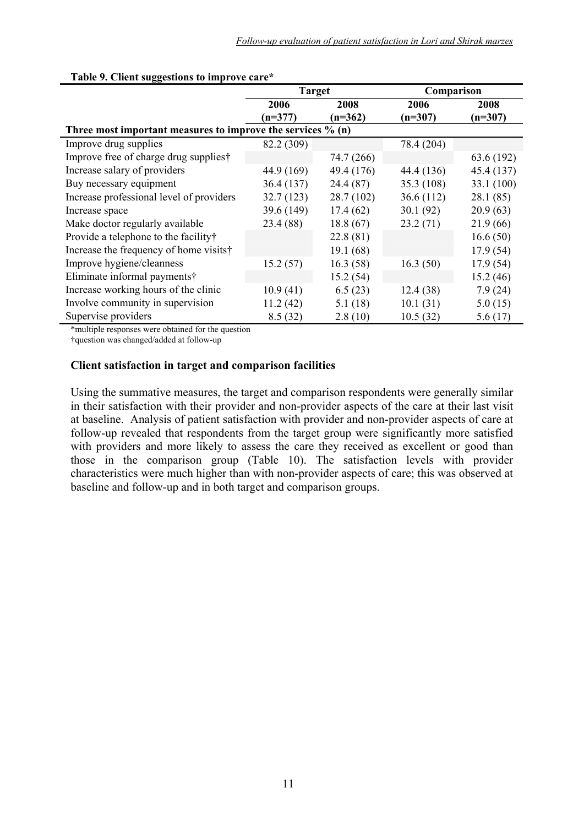|                                                             | <b>Target</b> |            | Comparison |            |
|-------------------------------------------------------------|---------------|------------|------------|------------|
|                                                             | 2006          | 2008       | 2006       | 2008       |
|                                                             | $(n=377)$     | $(n=362)$  | $(n=307)$  | $(n=307)$  |
| Three most important measures to improve the services % (n) |               |            |            |            |
| Improve drug supplies                                       | 82.2 (309)    |            | 78.4 (204) |            |
| Improve free of charge drug supplies†                       |               | 74.7 (266) |            | 63.6 (192) |
| Increase salary of providers                                | 44.9 (169)    | 49.4 (176) | 44.4 (136) | 45.4 (137) |
| Buy necessary equipment                                     | 36.4(137)     | 24.4(87)   | 35.3(108)  | 33.1 (100) |
| Increase professional level of providers                    | 32.7(123)     | 28.7 (102) | 36.6(112)  | 28.1(85)   |
| Increase space                                              | 39.6 (149)    | 17.4(62)   | 30.1(92)   | 20.9(63)   |
| Make doctor regularly available                             | 23.4 (88)     | 18.8(67)   | 23.2(71)   | 21.9(66)   |
| Provide a telephone to the facility†                        |               | 22.8(81)   |            | 16.6(50)   |
| Increase the frequency of home visits†                      |               | 19.1(68)   |            | 17.9(54)   |
| Improve hygiene/cleanness                                   | 15.2(57)      | 16.3(58)   | 16.3(50)   | 17.9(54)   |
| Eliminate informal payments†                                |               | 15.2(54)   |            | 15.2(46)   |
| Increase working hours of the clinic                        | 10.9(41)      | 6.5(23)    | 12.4(38)   | 7.9(24)    |
| Involve community in supervision                            | 11.2(42)      | 5.1(18)    | 10.1(31)   | 5.0(15)    |
| Supervise providers                                         | 8.5(32)       | 2.8(10)    | 10.5(32)   | 5.6(17)    |

#### **Table 9. Client suggestions to improve care\***

\*multiple responses were obtained for the question

†question was changed/added at follow-up

#### **Client satisfaction in target and comparison facilities**

Using the summative measures, the target and comparison respondents were generally similar in their satisfaction with their provider and non-provider aspects of the care at their last visit at baseline. Analysis of patient satisfaction with provider and non-provider aspects of care at follow-up revealed that respondents from the target group were significantly more satisfied with providers and more likely to assess the care they received as excellent or good than those in the comparison group (Table 10). The satisfaction levels with provider characteristics were much higher than with non-provider aspects of care; this was observed at baseline and follow-up and in both target and comparison groups.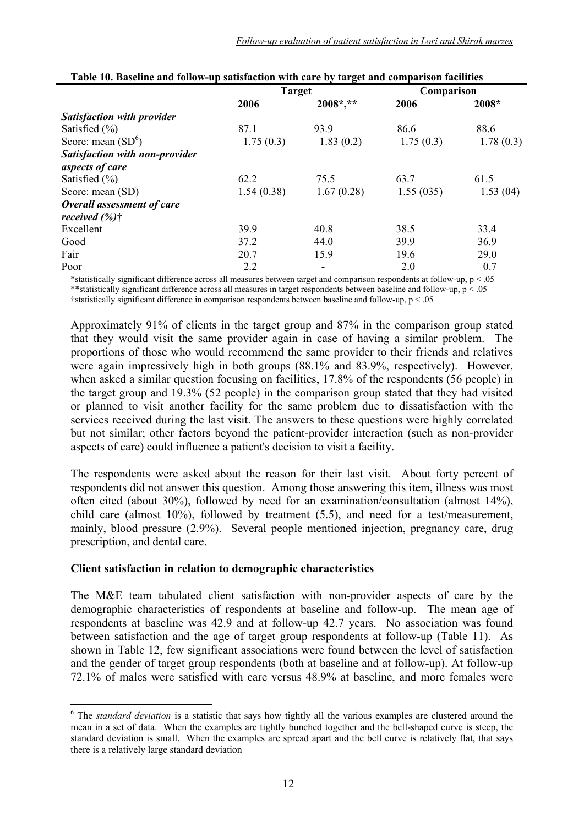|                                       | <b>Target</b> |             | Comparison |           |
|---------------------------------------|---------------|-------------|------------|-----------|
|                                       | 2006          | $2008*, **$ | 2006       | 2008*     |
| <b>Satisfaction with provider</b>     |               |             |            |           |
| Satisfied $(\% )$                     | 87.1          | 93.9        | 86.6       | 88.6      |
| Score: mean $(SD^6)$                  | 1.75(0.3)     | 1.83(0.2)   | 1.75(0.3)  | 1.78(0.3) |
| <b>Satisfaction with non-provider</b> |               |             |            |           |
| aspects of care                       |               |             |            |           |
| Satisfied $(\% )$                     | 62.2          | 75.5        | 63.7       | 61.5      |
| Score: mean (SD)                      | 1.54(0.38)    | 1.67(0.28)  | 1.55(035)  | 1.53(04)  |
| <b>Overall assessment of care</b>     |               |             |            |           |
| received $(\% )\dagger$               |               |             |            |           |
| Excellent                             | 39.9          | 40.8        | 38.5       | 33.4      |
| Good                                  | 37.2          | 44.0        | 39.9       | 36.9      |
| Fair                                  | 20.7          | 15.9        | 19.6       | 29.0      |
| Poor                                  | 2.2           | -           | 2.0        | 0.7       |

| Table 10. Baseline and follow-up satisfaction with care by target and comparison facilities |
|---------------------------------------------------------------------------------------------|
|---------------------------------------------------------------------------------------------|

\*statistically significant difference across all measures between target and comparison respondents at follow-up,  $p < 0.05$ \*\*statistically significant difference across all measures in target respondents between baseline and follow-up, p < .05 †statistically significant difference in comparison respondents between baseline and follow-up, p < .05

Approximately 91% of clients in the target group and 87% in the comparison group stated that they would visit the same provider again in case of having a similar problem. The proportions of those who would recommend the same provider to their friends and relatives were again impressively high in both groups (88.1% and 83.9%, respectively). However, when asked a similar question focusing on facilities, 17.8% of the respondents (56 people) in the target group and 19.3% (52 people) in the comparison group stated that they had visited or planned to visit another facility for the same problem due to dissatisfaction with the services received during the last visit. The answers to these questions were highly correlated but not similar; other factors beyond the patient-provider interaction (such as non-provider aspects of care) could influence a patient's decision to visit a facility.

The respondents were asked about the reason for their last visit. About forty percent of respondents did not answer this question. Among those answering this item, illness was most often cited (about 30%), followed by need for an examination/consultation (almost 14%), child care (almost 10%), followed by treatment (5.5), and need for a test/measurement, mainly, blood pressure (2.9%). Several people mentioned injection, pregnancy care, drug prescription, and dental care.

#### **Client satisfaction in relation to demographic characteristics**

1

The M&E team tabulated client satisfaction with non-provider aspects of care by the demographic characteristics of respondents at baseline and follow-up. The mean age of respondents at baseline was 42.9 and at follow-up 42.7 years. No association was found between satisfaction and the age of target group respondents at follow-up (Table 11). As shown in Table 12, few significant associations were found between the level of satisfaction and the gender of target group respondents (both at baseline and at follow-up). At follow-up 72.1% of males were satisfied with care versus 48.9% at baseline, and more females were

<sup>&</sup>lt;sup>6</sup> The *standard deviation* is a statistic that says how tightly all the various examples are clustered around the mean in a set of data. When the examples are tightly bunched together and the bell-shaped curve is steep, the standard deviation is small. When the examples are spread apart and the bell curve is relatively flat, that says there is a relatively large standard deviation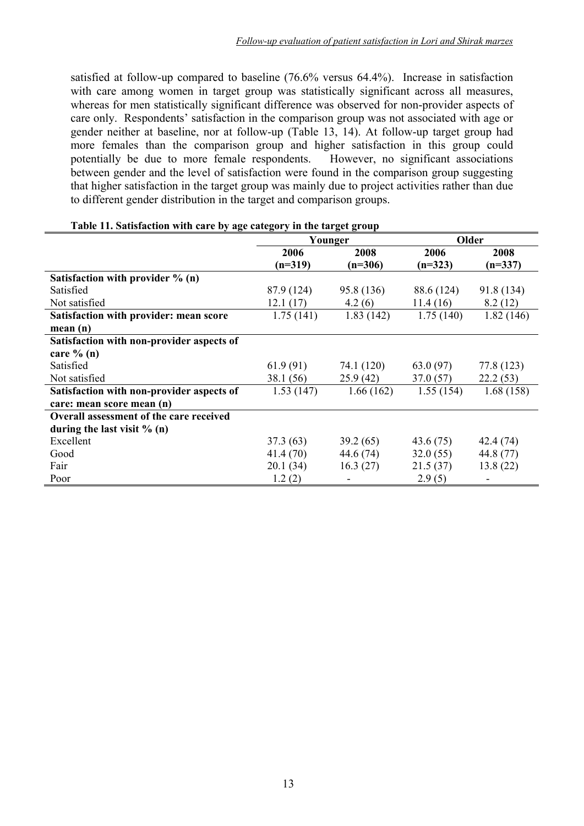satisfied at follow-up compared to baseline (76.6% versus 64.4%). Increase in satisfaction with care among women in target group was statistically significant across all measures, whereas for men statistically significant difference was observed for non-provider aspects of care only. Respondents' satisfaction in the comparison group was not associated with age or gender neither at baseline, nor at follow-up (Table 13, 14). At follow-up target group had more females than the comparison group and higher satisfaction in this group could potentially be due to more female respondents. However, no significant associations between gender and the level of satisfaction were found in the comparison group suggesting that higher satisfaction in the target group was mainly due to project activities rather than due to different gender distribution in the target and comparison groups.

|                                                |            | Younger    | Older      |            |
|------------------------------------------------|------------|------------|------------|------------|
|                                                | 2006       | 2008       | 2006       | 2008       |
|                                                | $(n=319)$  | $(n=306)$  | $(n=323)$  | $(n=337)$  |
| Satisfaction with provider $\%$ (n)            |            |            |            |            |
| Satisfied                                      | 87.9 (124) | 95.8 (136) | 88.6 (124) | 91.8 (134) |
| Not satisfied                                  | 12.1(17)   | 4.2(6)     | 11.4(16)   | 8.2(12)    |
| Satisfaction with provider: mean score         | 1.75(141)  | 1.83(142)  | 1.75(140)  | 1.82(146)  |
| mean(n)                                        |            |            |            |            |
| Satisfaction with non-provider aspects of      |            |            |            |            |
| care $\%$ (n)                                  |            |            |            |            |
| Satisfied                                      | 61.9(91)   | 74.1 (120) | 63.0(97)   | 77.8 (123) |
| Not satisfied                                  | 38.1 (56)  | 25.9(42)   | 37.0(57)   | 22.2(53)   |
| Satisfaction with non-provider aspects of      | 1.53(147)  | 1.66(162)  | 1.55(154)  | 1.68(158)  |
| care: mean score mean (n)                      |            |            |            |            |
| <b>Overall assessment of the care received</b> |            |            |            |            |
| during the last visit $% (n)$                  |            |            |            |            |
| Excellent                                      | 37.3(63)   | 39.2(65)   | 43.6 (75)  | 42.4 (74)  |
| Good                                           | 41.4 (70)  | 44.6 (74)  | 32.0(55)   | 44.8 (77)  |
| Fair                                           | 20.1(34)   | 16.3(27)   | 21.5(37)   | 13.8(22)   |
| Poor                                           | 1.2(2)     |            | 2.9(5)     |            |

#### **Table 11. Satisfaction with care by age category in the target group**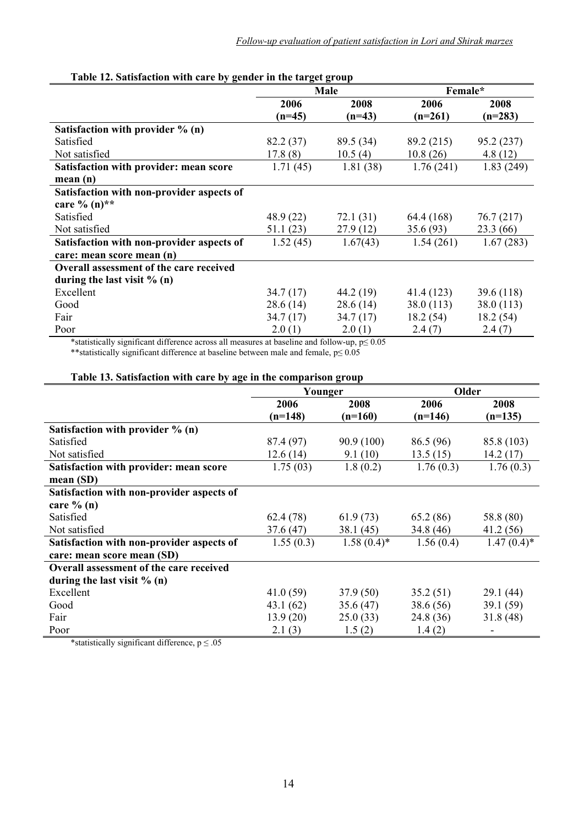| $\blacksquare$ . Such showed the model of $\mathcal{L}_{\mathcal{J}}$ general in the thin |           | Male      | Female*    |            |
|-------------------------------------------------------------------------------------------|-----------|-----------|------------|------------|
|                                                                                           | 2006      | 2008      | 2006       | 2008       |
|                                                                                           | $(n=45)$  | $(n=43)$  | $(n=261)$  | $(n=283)$  |
| Satisfaction with provider $\%$ (n)                                                       |           |           |            |            |
| Satisfied                                                                                 | 82.2 (37) | 89.5 (34) | 89.2 (215) | 95.2(237)  |
| Not satisfied                                                                             | 17.8(8)   | 10.5(4)   | 10.8(26)   | 4.8(12)    |
| Satisfaction with provider: mean score                                                    | 1.71(45)  | 1.81(38)  | 1.76(241)  | 1.83(249)  |
| mean(n)                                                                                   |           |           |            |            |
| Satisfaction with non-provider aspects of                                                 |           |           |            |            |
| care % $(n)$ **                                                                           |           |           |            |            |
| Satisfied                                                                                 | 48.9 (22) | 72.1 (31) | 64.4 (168) | 76.7 (217) |
| Not satisfied                                                                             | 51.1(23)  | 27.9(12)  | 35.6(93)   | 23.3 (66)  |
| Satisfaction with non-provider aspects of                                                 | 1.52(45)  | 1.67(43)  | 1.54(261)  | 1.67(283)  |
| care: mean score mean (n)                                                                 |           |           |            |            |
| <b>Overall assessment of the care received</b>                                            |           |           |            |            |
| during the last visit $\%$ (n)                                                            |           |           |            |            |
| Excellent                                                                                 | 34.7(17)  | 44.2 (19) | 41.4 (123) | 39.6 (118) |
| Good                                                                                      | 28.6(14)  | 28.6(14)  | 38.0(113)  | 38.0(113)  |
| Fair                                                                                      | 34.7(17)  | 34.7(17)  | 18.2(54)   | 18.2(54)   |
| Poor                                                                                      | 2.0(1)    | 2.0(1)    | 2.4(7)     | 2.4(7)     |

#### **Table 12. Satisfaction with care by gender in the target group**

\*statistically significant difference across all measures at baseline and follow-up,  $p \le 0.05$ 

\*\*statistically significant difference at baseline between male and female, p≤ 0.05

#### **Table 13. Satisfaction with care by age in the comparison group**

|                                                | Younger   |               | Older     |               |
|------------------------------------------------|-----------|---------------|-----------|---------------|
|                                                | 2006      | 2008          | 2006      | 2008          |
|                                                | $(n=148)$ | $(n=160)$     | $(n=146)$ | $(n=135)$     |
| Satisfaction with provider $\%$ (n)            |           |               |           |               |
| Satisfied                                      | 87.4 (97) | 90.9(100)     | 86.5 (96) | 85.8 (103)    |
| Not satisfied                                  | 12.6(14)  | 9.1(10)       | 13.5(15)  | 14.2(17)      |
| Satisfaction with provider: mean score         | 1.75(03)  | 1.8(0.2)      | 1.76(0.3) | 1.76(0.3)     |
| mean (SD)                                      |           |               |           |               |
| Satisfaction with non-provider aspects of      |           |               |           |               |
| care $\%$ (n)                                  |           |               |           |               |
| Satisfied                                      | 62.4(78)  | 61.9(73)      | 65.2 (86) | 58.8 (80)     |
| Not satisfied                                  | 37.6(47)  | 38.1(45)      | 34.8 (46) | 41.2(56)      |
| Satisfaction with non-provider aspects of      | 1.55(0.3) | $1.58(0.4)^*$ | 1.56(0.4) | $1.47(0.4)$ * |
| care: mean score mean (SD)                     |           |               |           |               |
| <b>Overall assessment of the care received</b> |           |               |           |               |
| during the last visit $% (n)$                  |           |               |           |               |
| Excellent                                      | 41.0(59)  | 37.9(50)      | 35.2(51)  | 29.1 (44)     |
| Good                                           | 43.1(62)  | 35.6(47)      | 38.6 (56) | 39.1 (59)     |
| Fair                                           | 13.9(20)  | 25.0(33)      | 24.8 (36) | 31.8(48)      |
| Poor                                           | 2.1(3)    | 1.5(2)        | 1.4(2)    |               |

\*statistically significant difference,  $p \le 0.05$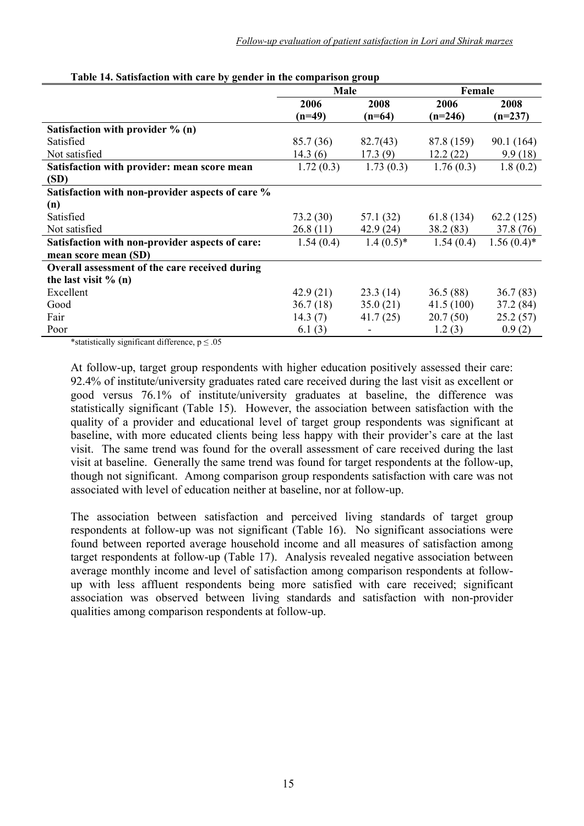|                                                  | <b>Male</b> |              | Female     |               |
|--------------------------------------------------|-------------|--------------|------------|---------------|
|                                                  | 2006        | 2008         | 2006       | 2008          |
|                                                  | $(n=49)$    | $(n=64)$     | $(n=246)$  | $(n=237)$     |
| Satisfaction with provider $\%$ (n)              |             |              |            |               |
| Satisfied                                        | 85.7 (36)   | 82.7(43)     | 87.8 (159) | 90.1 (164)    |
| Not satisfied                                    | 14.3(6)     | 17.3(9)      | 12.2(22)   | 9.9(18)       |
| Satisfaction with provider: mean score mean      | 1.72(0.3)   | 1.73(0.3)    | 1.76(0.3)  | 1.8(0.2)      |
| (SD)                                             |             |              |            |               |
| Satisfaction with non-provider aspects of care % |             |              |            |               |
| (n)                                              |             |              |            |               |
| Satisfied                                        | 73.2(30)    | 57.1 (32)    | 61.8(134)  | 62.2(125)     |
| Not satisfied                                    | 26.8(11)    | 42.9 (24)    | 38.2(83)   | 37.8 (76)     |
| Satisfaction with non-provider aspects of care:  | 1.54(0.4)   | $1.4(0.5)^*$ | 1.54(0.4)  | $1.56(0.4)$ * |
| mean score mean (SD)                             |             |              |            |               |
| Overall assessment of the care received during   |             |              |            |               |
| the last visit $\%$ (n)                          |             |              |            |               |
| Excellent                                        | 42.9(21)    | 23.3(14)     | 36.5(88)   | 36.7(83)      |
| Good                                             | 36.7(18)    | 35.0(21)     | 41.5(100)  | 37.2(84)      |
| Fair                                             | 14.3(7)     | 41.7(25)     | 20.7(50)   | 25.2(57)      |
| Poor                                             | 6.1(3)      |              | 1.2(3)     | 0.9(2)        |

| Table 14. Satisfaction with care by gender in the comparison group |  |
|--------------------------------------------------------------------|--|
|--------------------------------------------------------------------|--|

\*statistically significant difference,  $p \le 0.05$ 

At follow-up, target group respondents with higher education positively assessed their care: 92.4% of institute/university graduates rated care received during the last visit as excellent or good versus 76.1% of institute/university graduates at baseline, the difference was statistically significant (Table 15). However, the association between satisfaction with the quality of a provider and educational level of target group respondents was significant at baseline, with more educated clients being less happy with their provider's care at the last visit. The same trend was found for the overall assessment of care received during the last visit at baseline. Generally the same trend was found for target respondents at the follow-up, though not significant. Among comparison group respondents satisfaction with care was not associated with level of education neither at baseline, nor at follow-up.

The association between satisfaction and perceived living standards of target group respondents at follow-up was not significant (Table 16). No significant associations were found between reported average household income and all measures of satisfaction among target respondents at follow-up (Table 17). Analysis revealed negative association between average monthly income and level of satisfaction among comparison respondents at followup with less affluent respondents being more satisfied with care received; significant association was observed between living standards and satisfaction with non-provider qualities among comparison respondents at follow-up.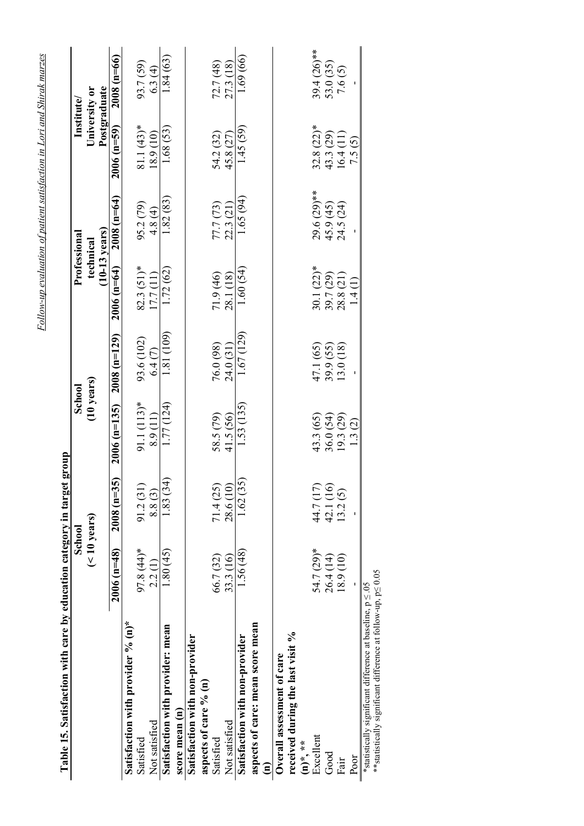| Table 15. Satisfaction with care by education category in target group                                                               |                        |                      |                           |                                     |                                            |                                          |                                                     |                                                   |
|--------------------------------------------------------------------------------------------------------------------------------------|------------------------|----------------------|---------------------------|-------------------------------------|--------------------------------------------|------------------------------------------|-----------------------------------------------------|---------------------------------------------------|
|                                                                                                                                      | School                 |                      | School                    |                                     | Professiona                                |                                          | Institute                                           |                                                   |
|                                                                                                                                      | $($ < 10 years)        |                      |                           | (10 years)                          | technical                                  | $(10-13 \text{ years})$                  | Postgraduate<br>University or                       |                                                   |
|                                                                                                                                      | $2006(n=48)$           | $2008$ (n=35)        | $2006(n=135)$             | $2008(n=129)$                       | $2006(n=64)$                               | $2008(n=64)$                             | $2006(n=59)$                                        | $2008(n=66)$                                      |
| Satisfaction with provider % (n)*                                                                                                    |                        |                      |                           |                                     |                                            |                                          |                                                     |                                                   |
| Satisfied                                                                                                                            | 97.8 (44)*             | 91.2(31              |                           | 93.6 (102)                          | $82.3(51)*$                                |                                          |                                                     |                                                   |
| Not satisfied                                                                                                                        | 2.2(1)                 | 8.8(3)               | 91.1 $(113)*$<br>8.9 (11) | 6.4(7)                              | 17.7(11)                                   | $95.2(79)$<br>4.8(4)                     | $81.1(43)*$<br>18.9 (10)                            | $93.7(59)$<br>$6.3(4)$                            |
| Satisfaction with provider: mean                                                                                                     | 1.80(45)               | 1.83(34)             | 1.77 (124)                | 1.81 (109)                          | 1.72(62)                                   | 1.82(83)                                 | 1.68(53)                                            | 1.84(63)                                          |
| score mean (n)                                                                                                                       |                        |                      |                           |                                     |                                            |                                          |                                                     |                                                   |
| Satisfaction with non-provider                                                                                                       |                        |                      |                           |                                     |                                            |                                          |                                                     |                                                   |
| aspects of care % (n)                                                                                                                |                        |                      |                           |                                     |                                            |                                          |                                                     |                                                   |
| Satisfied                                                                                                                            | 66.7 (32)              | 71.4(25)             | 58.5 (79)                 | 76.0 (98)                           | 71.9 (46)                                  | 77.7 (73)<br>22.3 (21)                   |                                                     | $72.7(48)$<br>$27.3(18)$                          |
| Not satisfied                                                                                                                        | 33.3 (16)              | 28.6 (10)            | 41.5 (56)                 | 24.0 (31)                           | 28.1 (18)                                  |                                          | 54.2 (32)<br>45.8 (27)                              |                                                   |
| Satisfaction with non-provider                                                                                                       | 1.56 (48)              | 1.62(35)             | 1.53 (135)                | 1.67(129)                           | 1.60(54)                                   | 1.65 (94)                                | 1.45(59)                                            | 1.69 (66)                                         |
| aspects of care: mean score mean                                                                                                     |                        |                      |                           |                                     |                                            |                                          |                                                     |                                                   |
| Ξ                                                                                                                                    |                        |                      |                           |                                     |                                            |                                          |                                                     |                                                   |
| Overall assessment of care                                                                                                           |                        |                      |                           |                                     |                                            |                                          |                                                     |                                                   |
| received during the last visit %                                                                                                     |                        |                      |                           |                                     |                                            |                                          |                                                     |                                                   |
| $(n)$ *, **                                                                                                                          |                        |                      |                           |                                     |                                            |                                          |                                                     |                                                   |
| Excellent                                                                                                                            | 54.7 (29)*             | 44.7(17)<br>42.1(16) | 43.3 (65)                 |                                     |                                            |                                          |                                                     |                                                   |
| $_{\rm Good}$                                                                                                                        | $26.4(14)$<br>18.9(10) |                      |                           | 47.1 (65)<br>39.9 (55)<br>13.0 (18) | 30.1 $(22)*$<br>39.7 $(29)$<br>28.8 $(21)$ |                                          |                                                     | $39.4 (26)$ <sup>**</sup><br>53.0 (35)<br>7.6 (5) |
| Fair                                                                                                                                 |                        | 13.2(5)              | 36.0 (54)<br>19.3 (29)    |                                     |                                            | $29.6 (29)$ **<br>45.9 (45)<br>24.5 (24) | $32.8$ (22)*<br>43.3 (29)<br>16.4 (11)<br>16.4 (11) |                                                   |
| Poor                                                                                                                                 |                        |                      | 1.3(2)                    |                                     | $\frac{1}{4}$                              |                                          |                                                     |                                                   |
| **statistically significant difference at follow-up, $p \le 0.05$<br>*statistically significant difference at baseline, $p \le 0.05$ |                        |                      |                           |                                     |                                            |                                          |                                                     |                                                   |

*Follow-up evaluation of patient satisfaction in Lori and Shirak marzes*

Follow-up evaluation of patient satisfaction in Lori and Shirak marzes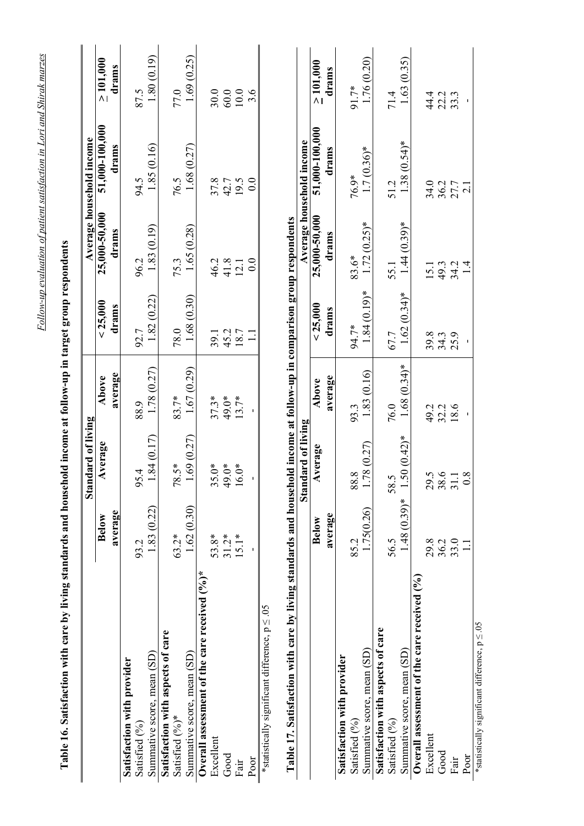|                                                                                                                        |                  | Standard of living   |                           |                        |                            | Average household income  |                         |
|------------------------------------------------------------------------------------------------------------------------|------------------|----------------------|---------------------------|------------------------|----------------------------|---------------------------|-------------------------|
|                                                                                                                        | average<br>Below | Average              | average<br>Above          | < 25,000<br>drams      | 25,000-50,000<br>drams     | 51,000-100,000<br>drams   | $\geq 101,000$<br>drams |
| Satisfaction with provider                                                                                             |                  |                      |                           |                        |                            |                           |                         |
| Satisfied (%)                                                                                                          | 93.2             | 95.4                 | 88.9                      | 92.7                   | 96.2                       | 94.5                      | 87.5                    |
| Summative score, mean (SD)                                                                                             | 1.83 (0.22)      | 1.84(0.17)           | 1.78 (0.27)               | 1.82(0.22)             | 1.83(0.19)                 | 1.85(0.16)                | 1.80(0.19)              |
| Satisfaction with aspects of care                                                                                      |                  |                      |                           |                        |                            |                           |                         |
| Satisfied (%)*                                                                                                         | $63.2*$          | 78.5*                | 83.7*                     | 78.0                   | 75.3                       | 76.5                      | 77.0                    |
| Summative score, mean (SD)                                                                                             | .62(0.30)        | 1.69(0.27)           | 1.67(0.29)                | 1.68 (0.30)            | 1.65 (0.28)                | 1.68 (0.27)               | 1.69(0.25)              |
| Overall assessment of the care received $(°/6)$ *                                                                      |                  |                      |                           |                        |                            |                           |                         |
| Excellent                                                                                                              | 53.8*            |                      | $37.3*$                   |                        |                            |                           | 30.0                    |
| Good                                                                                                                   | $31.2*$          | $35.0*$<br>49.0*     | 49.0*                     |                        |                            |                           | $60.0\,$                |
| Fair                                                                                                                   | $15.1*$          | $16.0*$              | $13.7*$                   | 39.1<br>45.2<br>18.7   | $46.2$<br>$41.8$<br>$12.1$ | $37.8$<br>42.7<br>19.5    | $\frac{10.0}{3.6}$      |
| Poor                                                                                                                   |                  |                      |                           |                        | 0.0                        | 0.0                       |                         |
| *statistically significant difference, $p \le 0.05$                                                                    |                  |                      |                           |                        |                            |                           |                         |
| Table 17. Satisfaction with care by living standards and household income at follow-up in comparison group respondents |                  |                      |                           |                        |                            |                           |                         |
|                                                                                                                        |                  | Standard of living   |                           |                        |                            | Average household income  |                         |
|                                                                                                                        | <b>Below</b>     | Average              | Above                     | < 25,000               | 25,000-50,000              | 51,000-100,000            | $\geq 101,000$          |
|                                                                                                                        | average          |                      | average                   | drams                  | drams                      | drams                     | drams                   |
| Satisfaction with provider                                                                                             |                  |                      |                           |                        |                            |                           |                         |
| Satisfied (%)                                                                                                          | 85.2             | 88.8                 | 93.3                      | 94.7*                  | 83.6*                      | 76.9*                     | 91.7*                   |
| Summative score, mean (SD)                                                                                             | 1.75(0.26)       | 1.78(0.27)           | 1.83 (0.16)               | $1.84(0.19)*$          | $1.72(0.25)$ *             | $1.7(0.36)*$              | 1.76 (0.20)             |
| Satisfaction with aspects of care                                                                                      |                  |                      |                           |                        |                            |                           |                         |
| Satisfied (%)                                                                                                          | 56.5             | 5<br>58.             |                           |                        |                            | 51.2                      |                         |
| Summative score, mean (SD)                                                                                             | $1.48(0.39)*$    | $.50(0.42)$ *        | $76.0$<br>1.68 $(0.34)$ * | $67.7$<br>1.62 (0.34)* | $55.1$<br>1.44 (0.39)*     | $1.38(0.54)$ *            | $71.4$<br>1.63 (0.35)   |
| Overall assessment of the care received (%)                                                                            |                  |                      |                           |                        |                            |                           |                         |
| Excellent                                                                                                              | 29.8             | Ċ<br>$\overline{62}$ |                           |                        | 15.1                       | 34.0                      |                         |
| Good                                                                                                                   | 36.2             | $38.6$<br>31.1       | 49.2<br>32.2<br>18.6      | 39.3<br>34.39          |                            |                           | 4 2 3<br>4 2 3<br>4 2 3 |
| Fair                                                                                                                   | 33.0             |                      |                           |                        | $49.3$<br>$34.1$<br>$1.4$  | $36.2$<br>$27.7$<br>$2.1$ |                         |
| Poor                                                                                                                   |                  | $\infty$             |                           |                        |                            |                           |                         |

Poor<br>\*statistically significant difference,  $p \le 0.05$ \*statistically significant difference, p ≤ .05

Follow-up evaluation of patient satisfaction in Lori and Shirak marzes *Follow-up evaluation of patient satisfaction in Lori and Shirak marzes*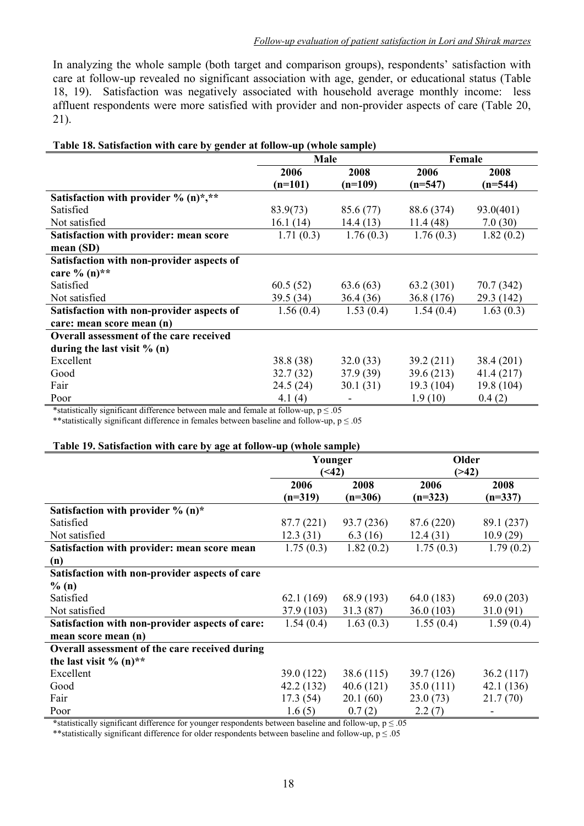In analyzing the whole sample (both target and comparison groups), respondents' satisfaction with care at follow-up revealed no significant association with age, gender, or educational status (Table 18, 19). Satisfaction was negatively associated with household average monthly income: less affluent respondents were more satisfied with provider and non-provider aspects of care (Table 20, 21).

| Table 18. Satisfaction with care by gender at follow-up (whole sample) |  |
|------------------------------------------------------------------------|--|
|------------------------------------------------------------------------|--|

|                                                | Male      |           | Female     |            |
|------------------------------------------------|-----------|-----------|------------|------------|
|                                                | 2006      | 2008      | 2006       | 2008       |
|                                                | $(n=101)$ | $(n=109)$ | $(n=547)$  | $(n=544)$  |
| Satisfaction with provider % (n)*,**           |           |           |            |            |
| Satisfied                                      | 83.9(73)  | 85.6 (77) | 88.6 (374) | 93.0(401)  |
| Not satisfied                                  | 16.1(14)  | 14.4(13)  | 11.4(48)   | 7.0(30)    |
| Satisfaction with provider: mean score         | 1.71(0.3) | 1.76(0.3) | 1.76(0.3)  | 1.82(0.2)  |
| mean(SD)                                       |           |           |            |            |
| Satisfaction with non-provider aspects of      |           |           |            |            |
| care % $(n)$ **                                |           |           |            |            |
| Satisfied                                      | 60.5(52)  | 63.6(63)  | 63.2(301)  | 70.7 (342) |
| Not satisfied                                  | 39.5(34)  | 36.4(36)  | 36.8 (176) | 29.3 (142) |
| Satisfaction with non-provider aspects of      | 1.56(0.4) | 1.53(0.4) | 1.54(0.4)  | 1.63(0.3)  |
| care: mean score mean (n)                      |           |           |            |            |
| <b>Overall assessment of the care received</b> |           |           |            |            |
| during the last visit $% (n)$                  |           |           |            |            |
| Excellent                                      | 38.8 (38) | 32.0(33)  | 39.2 (211) | 38.4 (201) |
| Good                                           | 32.7(32)  | 37.9(39)  | 39.6(213)  | 41.4(217)  |
| Fair                                           | 24.5 (24) | 30.1(31)  | 19.3 (104) | 19.8 (104) |
| Poor                                           | 4.1 $(4)$ |           | 1.9(10)    | 0.4(2)     |

\*statistically significant difference between male and female at follow-up,  $p \le 0.05$ 

\*\*statistically significant difference in females between baseline and follow-up,  $p \le 0.05$ 

#### **Table 19. Satisfaction with care by age at follow-up (whole sample)**

|                                                 | Younger    |            | Older      |            |
|-------------------------------------------------|------------|------------|------------|------------|
|                                                 | (42)       |            | ( > 42)    |            |
|                                                 | 2006       | 2008       | 2006       | 2008       |
|                                                 | $(n=319)$  | $(n=306)$  | $(n=323)$  | $(n=337)$  |
| Satisfaction with provider $\%$ (n)*            |            |            |            |            |
| Satisfied                                       | 87.7 (221) | 93.7 (236) | 87.6 (220) | 89.1 (237) |
| Not satisfied                                   | 12.3(31)   | 6.3(16)    | 12.4(31)   | 10.9(29)   |
| Satisfaction with provider: mean score mean     | 1.75(0.3)  | 1.82(0.2)  | 1.75(0.3)  | 1.79(0.2)  |
| (n)                                             |            |            |            |            |
| Satisfaction with non-provider aspects of care  |            |            |            |            |
| $\%$ (n)                                        |            |            |            |            |
| Satisfied                                       | 62.1(169)  | 68.9 (193) | 64.0 (183) | 69.0(203)  |
| Not satisfied                                   | 37.9 (103) | 31.3(87)   | 36.0(103)  | 31.0 (91)  |
| Satisfaction with non-provider aspects of care: | 1.54(0.4)  | 1.63(0.3)  | 1.55(0.4)  | 1.59(0.4)  |
| mean score mean (n)                             |            |            |            |            |
| Overall assessment of the care received during  |            |            |            |            |
| the last visit % $(n)$ **                       |            |            |            |            |
| Excellent                                       | 39.0 (122) | 38.6(115)  | 39.7 (126) | 36.2(117)  |
| Good                                            | 42.2 (132) | 40.6(121)  | 35.0(111)  | 42.1 (136) |
| Fair                                            | 17.3(54)   | 20.1(60)   | 23.0(73)   | 21.7(70)   |
| Poor                                            | 1.6(5)     | 0.7(2)     | 2.2(7)     |            |

**\***statistically significant difference for younger respondents between baseline and follow-up, p ≤ .05

\*\*statistically significant difference for older respondents between baseline and follow-up,  $p \le 0.05$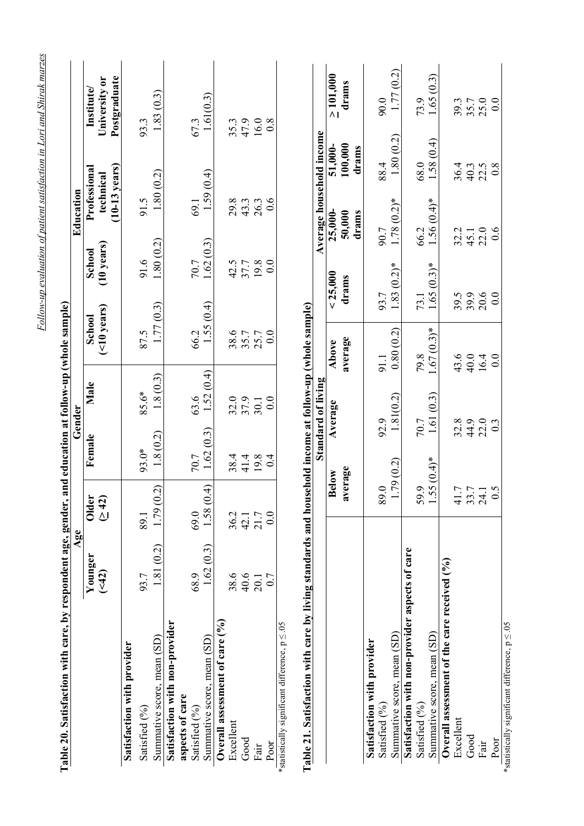| Table 20. Satisfaction with care, by respondent age, gender,                                          | Age      |                                     |                           | Gender             | and education at follow-up (whole sample) |                      | Education     |                              |                               |
|-------------------------------------------------------------------------------------------------------|----------|-------------------------------------|---------------------------|--------------------|-------------------------------------------|----------------------|---------------|------------------------------|-------------------------------|
|                                                                                                       | Younger  | <b>Older</b>                        | Female                    | Male               | School                                    | School               |               | Professional                 | $\mathbf{Institute}$          |
|                                                                                                       | (42)     | $\frac{42}{3}$                      |                           |                    | $($ <10 years)                            | $(10 \text{ years})$ |               | $(10-13$ years)<br>technical | Postgraduate<br>University or |
| Satisfaction with provider                                                                            |          |                                     |                           |                    |                                           |                      |               |                              |                               |
| Satisfied (%)                                                                                         | 93.7     | 89.1                                | 93.0*                     | 85.6*              | 87.5                                      | 91.6                 | 91.5          |                              | 93.3                          |
| Summative score, mean (SD)                                                                            | .81(0.2) | (50)<br>1.79(                       | 1.8(0.2)                  | 1.8(0.3)           | 1.77(0.3)                                 | 1.80(0.2)            |               | 1.80(0.2)                    | 1.83(0.3)                     |
| Satisfaction with non-provider                                                                        |          |                                     |                           |                    |                                           |                      |               |                              |                               |
| aspects of care                                                                                       |          |                                     |                           |                    |                                           |                      |               |                              |                               |
| Satisfied (%)                                                                                         | 68.9     | 69.0                                | 70.7                      | 63.6               | 66.2                                      | 70.7                 | 69.1          |                              | 67.3                          |
| Summative score, mean (SD)                                                                            | .62(0.3) | (4)<br>1.58(                        | 1.62(0.3)                 | 1.52(0.4)          | 1.55(0.4)                                 | 1.62(0.3)            |               | 1.59(0.4)                    | 1.61(0.3)                     |
| Overall assessment of care $(°0)$                                                                     |          |                                     |                           |                    |                                           |                      |               |                              |                               |
| Excellent                                                                                             | 38.6     | 36.2                                | 38.4                      | 32.0               | 38.6                                      | 42.5                 | 29.8          |                              | 35.3                          |
| $\rm God$                                                                                             | 40.6     | 42.1                                |                           | 37.9               | 35.7                                      | 37.7                 | 43.3          |                              |                               |
| Fair                                                                                                  | 20.1     | 21.7                                | 41.4<br>19.8              | 30.1               | 25.7                                      | 19.8                 |               |                              | 47.9<br>16.0                  |
| Poor                                                                                                  | 0.7      | 0.0                                 | 0.4                       | 0.0                | 0.0                                       | 0.0                  | $26.3$<br>0.6 |                              | $0.\overline{8}$              |
| *statistically significant difference, $p \le 0.05$                                                   |          |                                     |                           |                    |                                           |                      |               |                              |                               |
| Table 21. Satisfaction with care by living standards and household income at follow-up (whole sample) |          |                                     |                           |                    |                                           |                      |               |                              |                               |
|                                                                                                       |          |                                     |                           | Standard of living |                                           |                      |               | Average household income     |                               |
|                                                                                                       |          | <b>Below</b>                        |                           | Average            | Above                                     | < 25,000             | 25,000-       | 51,000-                      | > 101,000                     |
|                                                                                                       |          | average                             |                           |                    | average                                   | drams                | 50,000        | 100,000                      | drams                         |
|                                                                                                       |          |                                     |                           |                    |                                           |                      | drams         | drams                        |                               |
| Satisfaction with provider                                                                            |          |                                     |                           |                    |                                           |                      |               |                              |                               |
| Satisfied (%)                                                                                         |          | 89.0                                | 92.9                      |                    | 91.1                                      | 93.7                 | 90.7          | 88.4                         | 0.06                          |
| Summative score, mean (SD)                                                                            |          |                                     | 1.79(0.2)                 | 1.81(0.2)          | 0.80(0.2)                                 | $1.83(0.2)$ *        | $1.78(0.2)$ * | 1.80(0.2)                    | 1.77(0.2)                     |
| Satisfaction with non-provider aspects of care                                                        |          |                                     |                           |                    |                                           |                      |               |                              |                               |
| Satisfied (%)                                                                                         |          | 59.9                                | 70.7                      |                    | 79.8                                      | 73.1                 | 66.2          | 68.0                         | 73.9                          |
| Summative score, mean (SD)                                                                            |          |                                     | $-55(0.4)$ *              | 1.61(0.3)          | $.67(0.3)*$                               | $.65(0.3)*$          | $1.56(0.4)$ * | 1.58(0.4)                    | 1.65(0.3)                     |
| Overall assessment of the care received (%)                                                           |          |                                     |                           |                    |                                           |                      |               |                              |                               |
| Excellent                                                                                             |          |                                     | 32.8                      |                    | 43.6                                      |                      | 32.2          | 36.4                         | 39.3                          |
| Good                                                                                                  |          |                                     |                           |                    | 40.0                                      | 39.5                 | 45.1          |                              | 35.7                          |
| Fair                                                                                                  |          | $41.7$<br>$33.7$<br>$24.5$<br>$0.5$ | $44.9$<br>$22.0$<br>$0.3$ |                    | 16.4<br>0.0                               | $20.6$<br>0.0        | $22.0$<br>0.6 | $40.3$<br>$22.5$<br>$0.8$    | $25.0$<br>0.0                 |
| Poor                                                                                                  |          |                                     |                           |                    |                                           |                      |               |                              |                               |

Poor<br>\*statistically significant difference,  $p \le 0.05$ \*statistically significant difference, p ≤ .05

Follow-up evaluation of patient satisfaction in Lori and Shirak marzes *Follow-up evaluation of patient satisfaction in Lori and Shirak marzes*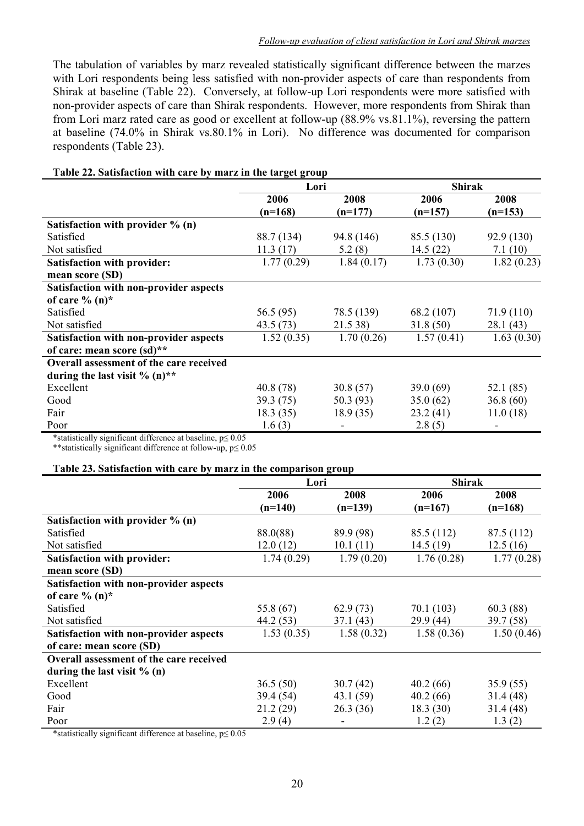The tabulation of variables by marz revealed statistically significant difference between the marzes with Lori respondents being less satisfied with non-provider aspects of care than respondents from Shirak at baseline (Table 22). Conversely, at follow-up Lori respondents were more satisfied with non-provider aspects of care than Shirak respondents. However, more respondents from Shirak than from Lori marz rated care as good or excellent at follow-up (88.9% vs.81.1%), reversing the pattern at baseline (74.0% in Shirak vs.80.1% in Lori). No difference was documented for comparison respondents (Table 23).

| Table 22. Satisfaction with care by marz in the target group |            |            |               |            |
|--------------------------------------------------------------|------------|------------|---------------|------------|
|                                                              | Lori       |            | <b>Shirak</b> |            |
|                                                              | 2006       | 2008       | 2006          | 2008       |
|                                                              | $(n=168)$  | $(n=177)$  | $(n=157)$     | $(n=153)$  |
| Satisfaction with provider $\%$ (n)                          |            |            |               |            |
| Satisfied                                                    | 88.7 (134) | 94.8 (146) | 85.5 (130)    | 92.9 (130) |
| Not satisfied                                                | 11.3(17)   | 5.2(8)     | 14.5(22)      | 7.1(10)    |
| <b>Satisfaction with provider:</b>                           | 1.77(0.29) | 1.84(0.17) | 1.73(0.30)    | 1.82(0.23) |
| mean score (SD)                                              |            |            |               |            |
| Satisfaction with non-provider aspects                       |            |            |               |            |
| of care $\%$ (n)*                                            |            |            |               |            |
| Satisfied                                                    | 56.5 (95)  | 78.5 (139) | 68.2 (107)    | 71.9 (110) |
| Not satisfied                                                | 43.5 (73)  | 21.5 38)   | 31.8(50)      | 28.1 (43)  |
| Satisfaction with non-provider aspects                       | 1.52(0.35) | 1.70(0.26) | 1.57(0.41)    | 1.63(0.30) |
| of care: mean score (sd)**                                   |            |            |               |            |
| <b>Overall assessment of the care received</b>               |            |            |               |            |
| during the last visit $\%$ (n) <sup>**</sup>                 |            |            |               |            |
| Excellent                                                    | 40.8(78)   | 30.8(57)   | 39.0(69)      | 52.1 (85)  |
| Good                                                         | 39.3 (75)  | 50.3(93)   | 35.0(62)      | 36.8(60)   |
| Fair                                                         | 18.3(35)   | 18.9(35)   | 23.2(41)      | 11.0(18)   |
| Poor                                                         | 1.6(3)     |            | 2.8(5)        |            |

\*statistically significant difference at baseline, p≤ 0.05

\*\*statistically significant difference at follow-up, p≤ 0.05

#### **Table 23. Satisfaction with care by marz in the comparison group**

|                                         | Lori       |            | <b>Shirak</b> |            |
|-----------------------------------------|------------|------------|---------------|------------|
|                                         | 2006       | 2008       | 2006          | 2008       |
|                                         | $(n=140)$  | $(n=139)$  | $(n=167)$     | $(n=168)$  |
| Satisfaction with provider $\%$ (n)     |            |            |               |            |
| Satisfied                               | 88.0(88)   | 89.9 (98)  | 85.5 (112)    | 87.5 (112) |
| Not satisfied                           | 12.0(12)   | 10.1(11)   | 14.5(19)      | 12.5(16)   |
| <b>Satisfaction with provider:</b>      | 1.74(0.29) | 1.79(0.20) | 1.76(0.28)    | 1.77(0.28) |
| mean score (SD)                         |            |            |               |            |
| Satisfaction with non-provider aspects  |            |            |               |            |
| of care $\%$ (n)*                       |            |            |               |            |
| Satisfied                               | 55.8 (67)  | 62.9(73)   | 70.1(103)     | 60.3(88)   |
| Not satisfied                           | 44.2 (53)  | 37.1(43)   | 29.9(44)      | 39.7 (58)  |
| Satisfaction with non-provider aspects  | 1.53(0.35) | 1.58(0.32) | 1.58(0.36)    | 1.50(0.46) |
| of care: mean score (SD)                |            |            |               |            |
| Overall assessment of the care received |            |            |               |            |
| during the last visit $% (n)$           |            |            |               |            |
| Excellent                               | 36.5(50)   | 30.7(42)   | 40.2(66)      | 35.9(55)   |
| Good                                    | 39.4 (54)  | 43.1 (59)  | 40.2(66)      | 31.4(48)   |
| Fair                                    | 21.2(29)   | 26.3(36)   | 18.3(30)      | 31.4(48)   |
| Poor                                    | 2.9(4)     |            | 1.2(2)        | 1.3(2)     |

\*statistically significant difference at baseline, p≤ 0.05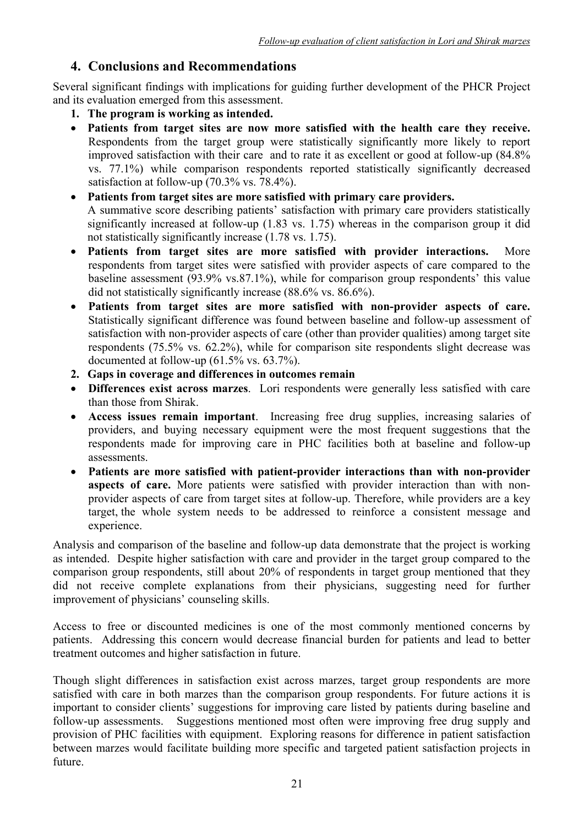## **4. Conclusions and Recommendations**

Several significant findings with implications for guiding further development of the PHCR Project and its evaluation emerged from this assessment.

- **1. The program is working as intended.**
- **Patients from target sites are now more satisfied with the health care they receive.**  Respondents from the target group were statistically significantly more likely to report improved satisfaction with their care and to rate it as excellent or good at follow-up (84.8% vs. 77.1%) while comparison respondents reported statistically significantly decreased satisfaction at follow-up (70.3% vs. 78.4%).
- **Patients from target sites are more satisfied with primary care providers.** A summative score describing patients' satisfaction with primary care providers statistically significantly increased at follow-up (1.83 vs. 1.75) whereas in the comparison group it did not statistically significantly increase (1.78 vs. 1.75).
- **Patients from target sites are more satisfied with provider interactions.** More respondents from target sites were satisfied with provider aspects of care compared to the baseline assessment (93.9% vs.87.1%), while for comparison group respondents' this value did not statistically significantly increase (88.6% vs. 86.6%).
- **Patients from target sites are more satisfied with non-provider aspects of care.**  Statistically significant difference was found between baseline and follow-up assessment of satisfaction with non-provider aspects of care (other than provider qualities) among target site respondents (75.5% vs. 62.2%), while for comparison site respondents slight decrease was documented at follow-up (61.5% vs. 63.7%).
- **2. Gaps in coverage and differences in outcomes remain**
- **Differences exist across marzes**. Lori respondents were generally less satisfied with care than those from Shirak.
- **Access issues remain important**. Increasing free drug supplies, increasing salaries of providers, and buying necessary equipment were the most frequent suggestions that the respondents made for improving care in PHC facilities both at baseline and follow-up assessments.
- **Patients are more satisfied with patient-provider interactions than with non-provider aspects of care.** More patients were satisfied with provider interaction than with nonprovider aspects of care from target sites at follow-up. Therefore, while providers are a key target, the whole system needs to be addressed to reinforce a consistent message and experience.

Analysis and comparison of the baseline and follow-up data demonstrate that the project is working as intended. Despite higher satisfaction with care and provider in the target group compared to the comparison group respondents, still about 20% of respondents in target group mentioned that they did not receive complete explanations from their physicians, suggesting need for further improvement of physicians' counseling skills.

Access to free or discounted medicines is one of the most commonly mentioned concerns by patients. Addressing this concern would decrease financial burden for patients and lead to better treatment outcomes and higher satisfaction in future.

Though slight differences in satisfaction exist across marzes, target group respondents are more satisfied with care in both marzes than the comparison group respondents. For future actions it is important to consider clients' suggestions for improving care listed by patients during baseline and follow-up assessments. Suggestions mentioned most often were improving free drug supply and provision of PHC facilities with equipment. Exploring reasons for difference in patient satisfaction between marzes would facilitate building more specific and targeted patient satisfaction projects in future.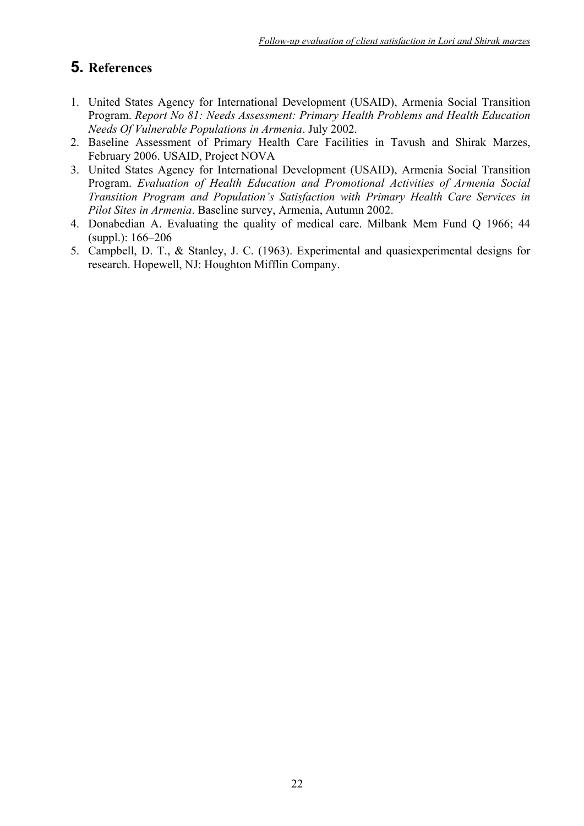## **5. References**

- 1. United States Agency for International Development (USAID), Armenia Social Transition Program. *Report No 81: Needs Assessment: Primary Health Problems and Health Education Needs Of Vulnerable Populations in Armenia*. July 2002.
- 2. Baseline Assessment of Primary Health Care Facilities in Tavush and Shirak Marzes, February 2006. USAID, Project NOVA
- 3. United States Agency for International Development (USAID), Armenia Social Transition Program. *Evaluation of Health Education and Promotional Activities of Armenia Social Transition Program and Population's Satisfaction with Primary Health Care Services in Pilot Sites in Armenia*. Baseline survey, Armenia, Autumn 2002.
- 4. Donabedian A. Evaluating the quality of medical care. Milbank Mem Fund Q 1966; 44 (suppl.): 166–206
- 5. Campbell, D. T., & Stanley, J. C. (1963). Experimental and quasiexperimental designs for research. Hopewell, NJ: Houghton Mifflin Company.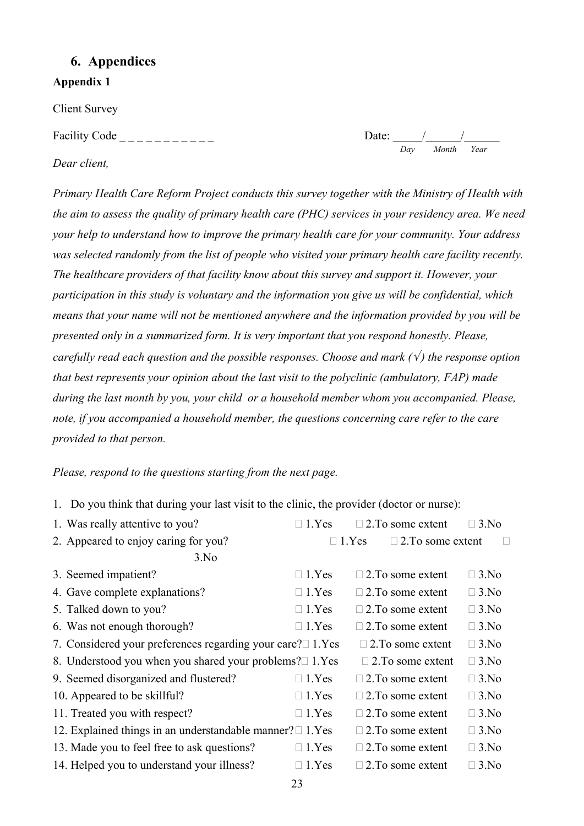## **6. Appendices**

**Appendix 1** 

Client Survey

Facility Code \_ \_ \_ \_ \_ \_ \_ \_ \_ \_ \_ Date: \_\_\_\_\_/\_\_\_\_\_\_/\_\_\_\_\_\_

Date:  $\frac{1}{\frac{1}{\frac{1}{\frac{1}{\frac{1}{\sqrt{1}}}}}}$ 

*Dear client,* 

*Primary Health Care Reform Project conducts this survey together with the Ministry of Health with the aim to assess the quality of primary health care (PHC) services in your residency area. We need your help to understand how to improve the primary health care for your community. Your address was selected randomly from the list of people who visited your primary health care facility recently. The healthcare providers of that facility know about this survey and support it. However, your participation in this study is voluntary and the information you give us will be confidential, which means that your name will not be mentioned anywhere and the information provided by you will be presented only in a summarized form. It is very important that you respond honestly. Please, carefully read each question and the possible responses. Choose and mark (* $\sqrt{}$ *) the response option that best represents your opinion about the last visit to the polyclinic (ambulatory, FAP) made during the last month by you, your child or a household member whom you accompanied. Please, note, if you accompanied a household member, the questions concerning care refer to the care provided to that person.* 

*Please, respond to the questions starting from the next page.* 

1. Do you think that during your last visit to the clinic, the provider (doctor or nurse):

| 1. Was really attentive to you?                                   | $\Box$ 1. Yes | $\Box$ 2. To some extent | $\Box$ 3.No |
|-------------------------------------------------------------------|---------------|--------------------------|-------------|
| 2. Appeared to enjoy caring for you?                              | $\Box$ 1. Yes | $\Box$ 2. To some extent |             |
| 3.No                                                              |               |                          |             |
| 3. Seemed impatient?                                              | $\Box$ 1. Yes | $\Box$ 2. To some extent | $\Box$ 3.No |
| 4. Gave complete explanations?                                    | $\Box$ 1. Yes | $\Box$ 2. To some extent | $\Box$ 3.No |
| 5. Talked down to you?                                            | $\Box$ 1. Yes | $\Box$ 2. To some extent | $\Box$ 3.No |
| 6. Was not enough thorough?                                       | $\Box$ 1.Yes  | $\Box$ 2. To some extent | $\Box$ 3.No |
| 7. Considered your preferences regarding your care? $\Box$ 1. Yes |               | $\Box$ 2. To some extent | $\Box$ 3.No |
| 8. Understood you when you shared your problems?□ 1.Yes           |               | $\Box$ 2. To some extent | $\Box$ 3.No |
| 9. Seemed disorganized and flustered?                             | $\Box$ 1.Yes  | $\Box$ 2. To some extent | $\Box$ 3.No |
| 10. Appeared to be skillful?                                      | $\Box$ 1. Yes | $\Box$ 2. To some extent | $\Box$ 3.No |
| 11. Treated you with respect?                                     | $\Box$ 1. Yes | $\Box$ 2. To some extent | $\Box$ 3.No |
| 12. Explained things in an understandable manner? $\Box$ 1. Yes   |               | $\Box$ 2. To some extent | $\Box$ 3.No |
| 13. Made you to feel free to ask questions?                       | $\Box$ 1.Yes  | $\Box$ 2. To some extent | $\Box$ 3.No |
| 14. Helped you to understand your illness?                        | 1.Yes         | $\Box$ 2. To some extent | $\Box$ 3.No |
|                                                                   |               |                          |             |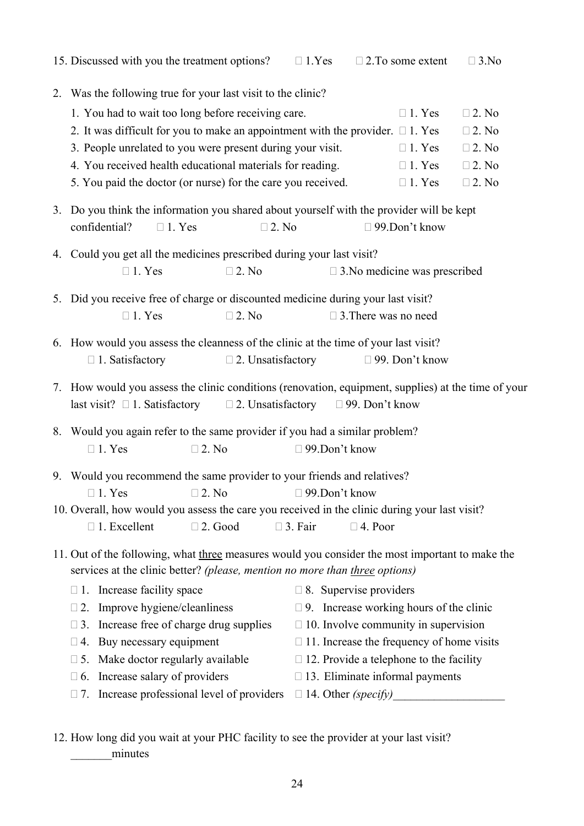| 15. Discussed with you the treatment options?                                                       | $\Box$ 1. Yes                     | $\Box$ 2. To some extent                         | $\Box$ 3.No     |  |  |  |  |  |  |  |
|-----------------------------------------------------------------------------------------------------|-----------------------------------|--------------------------------------------------|-----------------|--|--|--|--|--|--|--|
| 2. Was the following true for your last visit to the clinic?                                        |                                   |                                                  |                 |  |  |  |  |  |  |  |
| 1. You had to wait too long before receiving care.                                                  |                                   | $\Box$ 1. Yes                                    | $\square$ 2. No |  |  |  |  |  |  |  |
| 2. It was difficult for you to make an appointment with the provider. $\Box$ 1. Yes                 |                                   |                                                  | $\square$ 2. No |  |  |  |  |  |  |  |
| 3. People unrelated to you were present during your visit.                                          |                                   | $\Box$ 1. Yes                                    | $\square$ 2. No |  |  |  |  |  |  |  |
| 4. You received health educational materials for reading.                                           |                                   | $\Box$ 1. Yes                                    | $\square$ 2. No |  |  |  |  |  |  |  |
| 5. You paid the doctor (or nurse) for the care you received.                                        |                                   | $\Box$ 1. Yes                                    | $\square$ 2. No |  |  |  |  |  |  |  |
| 3. Do you think the information you shared about yourself with the provider will be kept            |                                   |                                                  |                 |  |  |  |  |  |  |  |
| confidential?<br>$\Box$ 1. Yes<br>$\square$ 2. No                                                   |                                   | $\Box$ 99.Don't know                             |                 |  |  |  |  |  |  |  |
| 4. Could you get all the medicines prescribed during your last visit?                               |                                   |                                                  |                 |  |  |  |  |  |  |  |
| $\Box$ 1. Yes<br>$\square$ 2. No                                                                    |                                   | $\Box$ 3. No medicine was prescribed             |                 |  |  |  |  |  |  |  |
| 5. Did you receive free of charge or discounted medicine during your last visit?                    |                                   |                                                  |                 |  |  |  |  |  |  |  |
| $\Box$ 1. Yes<br>$\square$ 2. No                                                                    |                                   | $\Box$ 3. There was no need                      |                 |  |  |  |  |  |  |  |
| 6. How would you assess the cleanness of the clinic at the time of your last visit?                 |                                   |                                                  |                 |  |  |  |  |  |  |  |
| $\Box$ 2. Unsatisfactory<br>$\Box$ 1. Satisfactory                                                  |                                   | $\Box$ 99. Don't know                            |                 |  |  |  |  |  |  |  |
| 7. How would you assess the clinic conditions (renovation, equipment, supplies) at the time of your |                                   |                                                  |                 |  |  |  |  |  |  |  |
| $\square$ 2. Unsatisfactory<br>last visit? $\square$ 1. Satisfactory                                |                                   | $\Box$ 99. Don't know                            |                 |  |  |  |  |  |  |  |
| 8. Would you again refer to the same provider if you had a similar problem?                         |                                   |                                                  |                 |  |  |  |  |  |  |  |
| $\Box$ 1. Yes<br>$\square$ 2. No                                                                    | $\Box$ 99.Don't know              |                                                  |                 |  |  |  |  |  |  |  |
| 9. Would you recommend the same provider to your friends and relatives?                             |                                   |                                                  |                 |  |  |  |  |  |  |  |
| $\Box$ 1. Yes $\Box$ 2. No $\Box$ 99. Don't know                                                    |                                   |                                                  |                 |  |  |  |  |  |  |  |
| 10. Overall, how would you assess the care you received in the clinic during your last visit?       |                                   |                                                  |                 |  |  |  |  |  |  |  |
| $\Box$ 1. Excellent<br>$\Box$ 2. Good                                                               | $\Box$ 3. Fair                    | $\Box$ 4. Poor                                   |                 |  |  |  |  |  |  |  |
| 11. Out of the following, what three measures would you consider the most important to make the     |                                   |                                                  |                 |  |  |  |  |  |  |  |
| services at the clinic better? (please, mention no more than three options)                         |                                   |                                                  |                 |  |  |  |  |  |  |  |
| $\Box$ 1. Increase facility space                                                                   |                                   | $\Box$ 8. Supervise providers                    |                 |  |  |  |  |  |  |  |
| $\Box$ 2. Improve hygiene/cleanliness                                                               |                                   | $\Box$ 9. Increase working hours of the clinic   |                 |  |  |  |  |  |  |  |
| Increase free of charge drug supplies<br>$\Box$ 3.                                                  |                                   | $\Box$ 10. Involve community in supervision      |                 |  |  |  |  |  |  |  |
| Buy necessary equipment<br>$\square$ 4.                                                             |                                   | $\Box$ 11. Increase the frequency of home visits |                 |  |  |  |  |  |  |  |
| Make doctor regularly available<br>$\square$ 5.                                                     |                                   | $\Box$ 12. Provide a telephone to the facility   |                 |  |  |  |  |  |  |  |
| $\Box$ 6. Increase salary of providers                                                              |                                   | $\Box$ 13. Eliminate informal payments           |                 |  |  |  |  |  |  |  |
| $\Box$ 7. Increase professional level of providers                                                  | $\Box$ 14. Other <i>(specify)</i> |                                                  |                 |  |  |  |  |  |  |  |

12. How long did you wait at your PHC facility to see the provider at your last visit? \_\_\_\_\_\_\_minutes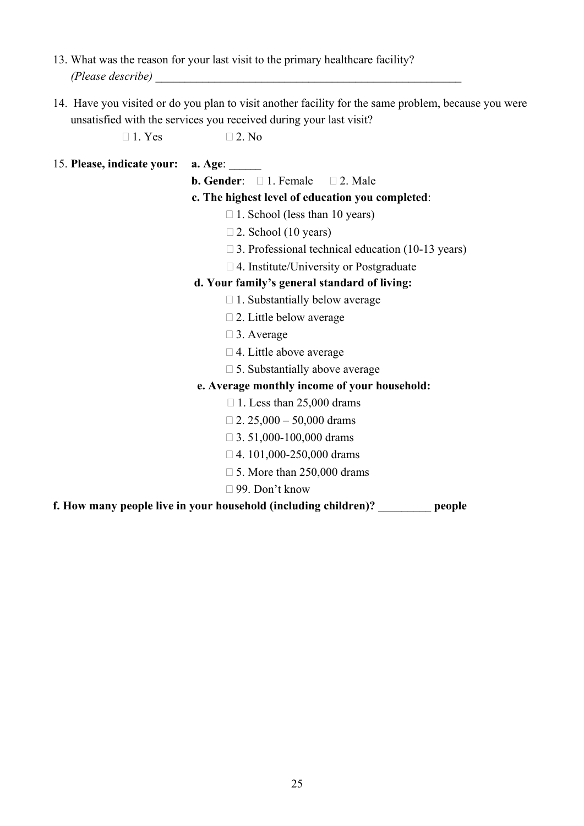- 13. What was the reason for your last visit to the primary healthcare facility? *(Please describe)* \_\_\_\_\_\_\_\_\_\_\_\_\_\_\_\_\_\_\_\_\_\_\_\_\_\_\_\_\_\_\_\_\_\_\_\_\_\_\_\_\_\_\_\_\_\_\_\_\_\_\_\_
- 14. Have you visited or do you plan to visit another facility for the same problem, because you were unsatisfied with the services you received during your last visit?

 $\Box$  1. Yes  $\Box$  2. No

#### 15. **Please, indicate your: a. Age:**

**b. Gender:**  $\Box$  1. Female  $\Box$  2. Male

#### **c. The highest level of education you completed**:

- $\Box$  1. School (less than 10 years)
- $\Box$  2. School (10 years)
- $\Box$  3. Professional technical education (10-13 years)
- $\Box$  4. Institute/University or Postgraduate

#### **d. Your family's general standard of living:**

- $\Box$  1. Substantially below average
- $\Box$  2. Little below average
- □ 3. Average
- $\Box$  4. Little above average
- $\Box$  5. Substantially above average

#### **e. Average monthly income of your household:**

- $\Box$  1. Less than 25,000 drams
- $\Box$  2. 25,000 50,000 drams
- $\Box$  3. 51,000-100,000 drams
- $\Box$  4. 101,000-250,000 drams
- $\Box$  5. More than 250,000 drams
- 99. Don't know

**f. How many people live in your household (including children)?** \_\_\_\_\_\_\_\_\_ **people**